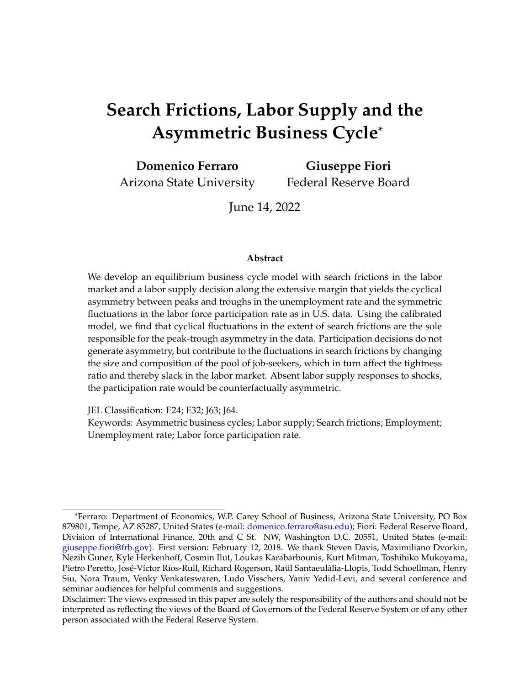# **Search Frictions, Labor Supply and the Asymmetric Business Cycle**\*

**Domenico Ferraro** Arizona State University **Giuseppe Fiori** Federal Reserve Board

June 14, 2022

#### **Abstract**

We develop an equilibrium business cycle model with search frictions in the labor market and a labor supply decision along the extensive margin that yields the cyclical asymmetry between peaks and troughs in the unemployment rate and the symmetric fluctuations in the labor force participation rate as in U.S. data. Using the calibrated model, we find that cyclical fluctuations in the extent of search frictions are the sole responsible for the peak-trough asymmetry in the data. Participation decisions do not generate asymmetry, but contribute to the fluctuations in search frictions by changing the size and composition of the pool of job-seekers, which in turn affect the tightness ratio and thereby slack in the labor market. Absent labor supply responses to shocks, the participation rate would be counterfactually asymmetric.

JEL Classification: E24; E32; J63; J64.

Keywords: Asymmetric business cycles; Labor supply; Search frictions; Employment; Unemployment rate; Labor force participation rate.

<sup>\*</sup>Ferraro: Department of Economics, W.P. Carey School of Business, Arizona State University, PO Box 879801, Tempe, AZ 85287, United States (e-mail: [domenico.ferraro@asu.edu\)](mailto:domenico.ferraro@asu.edu); Fiori: Federal Reserve Board, Division of International Finance, 20th and C St. NW, Washington D.C. 20551, United States (e-mail: [giuseppe.fiori@frb.gov\)](mailto: giuseppe.fiori@frb.gov). First version: February 12, 2018. We thank Steven Davis, Maximiliano Dvorkin, Nezih Guner, Kyle Herkenhoff, Cosmin Ilut, Loukas Karabarbounis, Kurt Mitman, Toshihiko Mukoyama, Pietro Peretto, José-Víctor Ríos-Rull, Richard Rogerson, Raül Santaeulàlia-Llopis, Todd Schoellman, Henry Siu, Nora Traum, Venky Venkateswaren, Ludo Visschers, Yaniv Yedid-Levi, and several conference and seminar audiences for helpful comments and suggestions.

Disclaimer: The views expressed in this paper are solely the responsibility of the authors and should not be interpreted as reflecting the views of the Board of Governors of the Federal Reserve System or of any other person associated with the Federal Reserve System.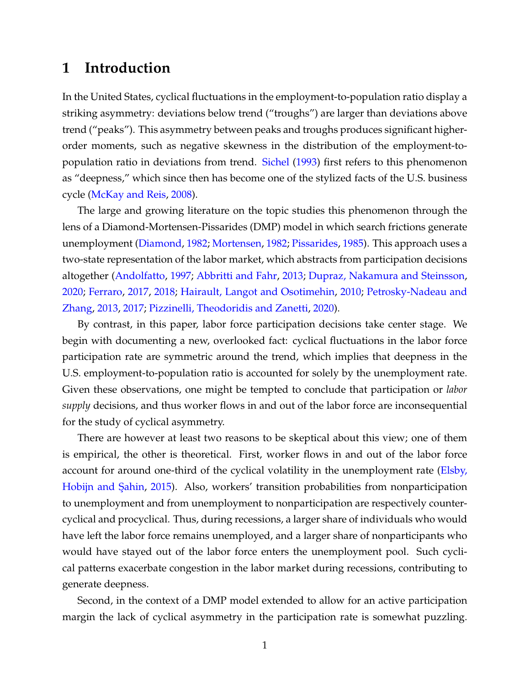## **1 Introduction**

In the United States, cyclical fluctuations in the employment-to-population ratio display a striking asymmetry: deviations below trend ("troughs") are larger than deviations above trend ("peaks"). This asymmetry between peaks and troughs produces significant higherorder moments, such as negative skewness in the distribution of the employment-topopulation ratio in deviations from trend. [Sichel](#page-39-0) [\(1993\)](#page-39-0) first refers to this phenomenon as "deepness," which since then has become one of the stylized facts of the U.S. business cycle [\(McKay and Reis,](#page-38-0) [2008\)](#page-38-0).

The large and growing literature on the topic studies this phenomenon through the lens of a Diamond-Mortensen-Pissarides (DMP) model in which search frictions generate unemployment [\(Diamond,](#page-36-0) [1982;](#page-36-0) [Mortensen,](#page-38-1) [1982;](#page-38-1) [Pissarides,](#page-39-1) [1985\)](#page-39-1). This approach uses a two-state representation of the labor market, which abstracts from participation decisions altogether [\(Andolfatto,](#page-35-0) [1997;](#page-35-0) [Abbritti and Fahr,](#page-35-1) [2013;](#page-35-1) [Dupraz, Nakamura and Steinsson,](#page-36-1) [2020;](#page-36-1) [Ferraro,](#page-36-2) [2017,](#page-36-2) [2018;](#page-36-3) [Hairault, Langot and Osotimehin,](#page-37-0) [2010;](#page-37-0) [Petrosky-Nadeau and](#page-38-2) [Zhang,](#page-38-2) [2013,](#page-38-2) [2017;](#page-39-2) [Pizzinelli, Theodoridis and Zanetti,](#page-39-3) [2020\)](#page-39-3).

By contrast, in this paper, labor force participation decisions take center stage. We begin with documenting a new, overlooked fact: cyclical fluctuations in the labor force participation rate are symmetric around the trend, which implies that deepness in the U.S. employment-to-population ratio is accounted for solely by the unemployment rate. Given these observations, one might be tempted to conclude that participation or *labor supply* decisions, and thus worker flows in and out of the labor force are inconsequential for the study of cyclical asymmetry.

There are however at least two reasons to be skeptical about this view; one of them is empirical, the other is theoretical. First, worker flows in and out of the labor force account for around one-third of the cyclical volatility in the unemployment rate [\(Elsby,](#page-36-4) Hobijn and Şahin, [2015\)](#page-36-4). Also, workers' transition probabilities from nonparticipation to unemployment and from unemployment to nonparticipation are respectively countercyclical and procyclical. Thus, during recessions, a larger share of individuals who would have left the labor force remains unemployed, and a larger share of nonparticipants who would have stayed out of the labor force enters the unemployment pool. Such cyclical patterns exacerbate congestion in the labor market during recessions, contributing to generate deepness.

Second, in the context of a DMP model extended to allow for an active participation margin the lack of cyclical asymmetry in the participation rate is somewhat puzzling.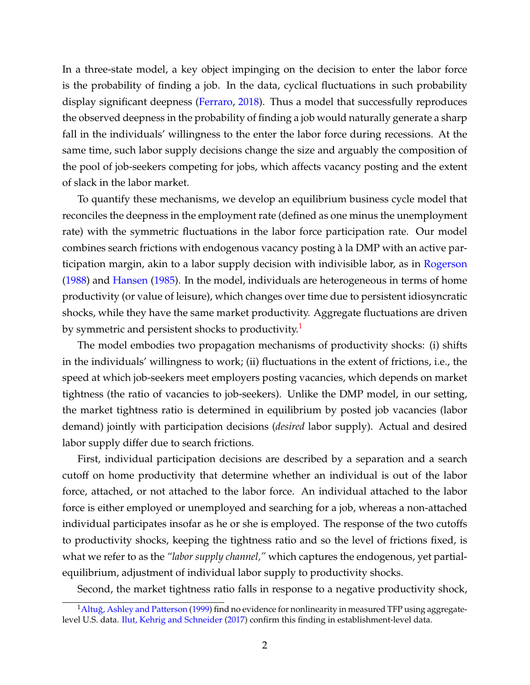In a three-state model, a key object impinging on the decision to enter the labor force is the probability of finding a job. In the data, cyclical fluctuations in such probability display significant deepness [\(Ferraro,](#page-36-3) [2018\)](#page-36-3). Thus a model that successfully reproduces the observed deepness in the probability of finding a job would naturally generate a sharp fall in the individuals' willingness to the enter the labor force during recessions. At the same time, such labor supply decisions change the size and arguably the composition of the pool of job-seekers competing for jobs, which affects vacancy posting and the extent of slack in the labor market.

To quantify these mechanisms, we develop an equilibrium business cycle model that reconciles the deepness in the employment rate (defined as one minus the unemployment rate) with the symmetric fluctuations in the labor force participation rate. Our model combines search frictions with endogenous vacancy posting à la DMP with an active participation margin, akin to a labor supply decision with indivisible labor, as in [Rogerson](#page-39-4) [\(1988\)](#page-39-4) and [Hansen](#page-37-1) [\(1985\)](#page-37-1). In the model, individuals are heterogeneous in terms of home productivity (or value of leisure), which changes over time due to persistent idiosyncratic shocks, while they have the same market productivity. Aggregate fluctuations are driven by symmetric and persistent shocks to productivity.<sup>[1](#page-2-0)</sup>

The model embodies two propagation mechanisms of productivity shocks: (i) shifts in the individuals' willingness to work; (ii) fluctuations in the extent of frictions, i.e., the speed at which job-seekers meet employers posting vacancies, which depends on market tightness (the ratio of vacancies to job-seekers). Unlike the DMP model, in our setting, the market tightness ratio is determined in equilibrium by posted job vacancies (labor demand) jointly with participation decisions (*desired* labor supply). Actual and desired labor supply differ due to search frictions.

First, individual participation decisions are described by a separation and a search cutoff on home productivity that determine whether an individual is out of the labor force, attached, or not attached to the labor force. An individual attached to the labor force is either employed or unemployed and searching for a job, whereas a non-attached individual participates insofar as he or she is employed. The response of the two cutoffs to productivity shocks, keeping the tightness ratio and so the level of frictions fixed, is what we refer to as the *"labor supply channel,"* which captures the endogenous, yet partialequilibrium, adjustment of individual labor supply to productivity shocks.

<span id="page-2-0"></span>Second, the market tightness ratio falls in response to a negative productivity shock,

<sup>&</sup>lt;sup>1</sup> Altuğ, Ashley and Patterson [\(1999\)](#page-35-2) find no evidence for nonlinearity in measured TFP using aggregate-level U.S. data. [Ilut, Kehrig and Schneider](#page-37-2) [\(2017\)](#page-37-2) confirm this finding in establishment-level data.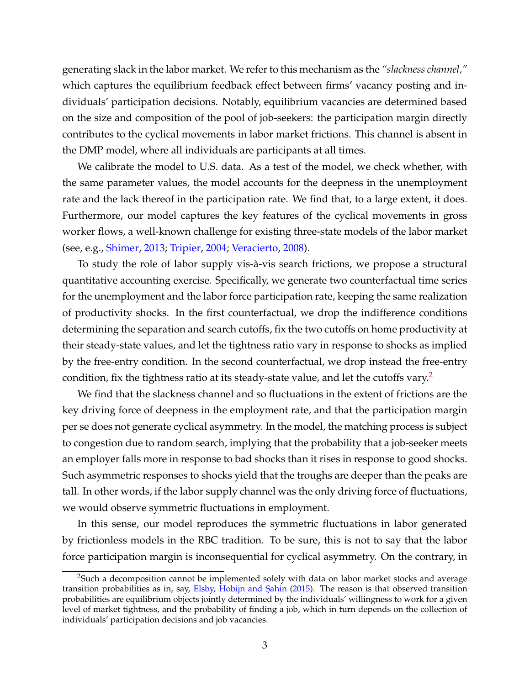generating slack in the labor market. We refer to this mechanism as the *"slackness channel,"* which captures the equilibrium feedback effect between firms' vacancy posting and individuals' participation decisions. Notably, equilibrium vacancies are determined based on the size and composition of the pool of job-seekers: the participation margin directly contributes to the cyclical movements in labor market frictions. This channel is absent in the DMP model, where all individuals are participants at all times.

We calibrate the model to U.S. data. As a test of the model, we check whether, with the same parameter values, the model accounts for the deepness in the unemployment rate and the lack thereof in the participation rate. We find that, to a large extent, it does. Furthermore, our model captures the key features of the cyclical movements in gross worker flows, a well-known challenge for existing three-state models of the labor market (see, e.g., [Shimer,](#page-39-5) [2013;](#page-39-5) [Tripier,](#page-39-6) [2004;](#page-39-6) [Veracierto,](#page-39-7) [2008\)](#page-39-7).

To study the role of labor supply vis-à-vis search frictions, we propose a structural quantitative accounting exercise. Specifically, we generate two counterfactual time series for the unemployment and the labor force participation rate, keeping the same realization of productivity shocks. In the first counterfactual, we drop the indifference conditions determining the separation and search cutoffs, fix the two cutoffs on home productivity at their steady-state values, and let the tightness ratio vary in response to shocks as implied by the free-entry condition. In the second counterfactual, we drop instead the free-entry condition, fix the tightness ratio at its steady-state value, and let the cutoffs vary.<sup>[2](#page-3-0)</sup>

We find that the slackness channel and so fluctuations in the extent of frictions are the key driving force of deepness in the employment rate, and that the participation margin per se does not generate cyclical asymmetry. In the model, the matching process is subject to congestion due to random search, implying that the probability that a job-seeker meets an employer falls more in response to bad shocks than it rises in response to good shocks. Such asymmetric responses to shocks yield that the troughs are deeper than the peaks are tall. In other words, if the labor supply channel was the only driving force of fluctuations, we would observe symmetric fluctuations in employment.

In this sense, our model reproduces the symmetric fluctuations in labor generated by frictionless models in the RBC tradition. To be sure, this is not to say that the labor force participation margin is inconsequential for cyclical asymmetry. On the contrary, in

<span id="page-3-0"></span><sup>&</sup>lt;sup>2</sup>Such a decomposition cannot be implemented solely with data on labor market stocks and average transition probabilities as in, say, Elsby, Hobijn and Şahin [\(2015\)](#page-36-4). The reason is that observed transition probabilities are equilibrium objects jointly determined by the individuals' willingness to work for a given level of market tightness, and the probability of finding a job, which in turn depends on the collection of individuals' participation decisions and job vacancies.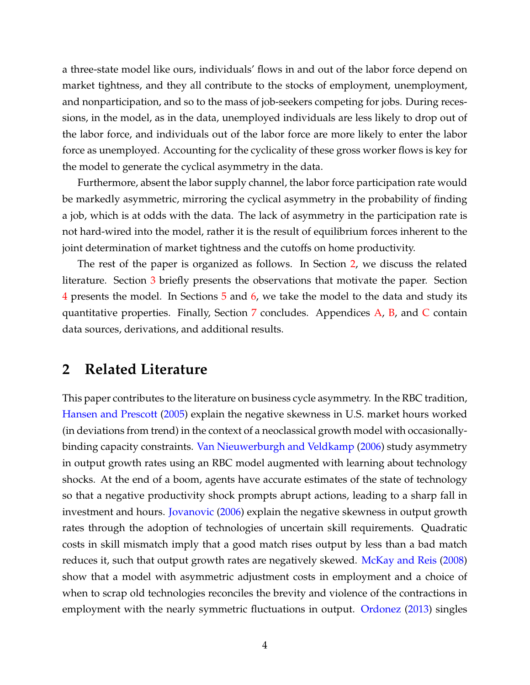a three-state model like ours, individuals' flows in and out of the labor force depend on market tightness, and they all contribute to the stocks of employment, unemployment, and nonparticipation, and so to the mass of job-seekers competing for jobs. During recessions, in the model, as in the data, unemployed individuals are less likely to drop out of the labor force, and individuals out of the labor force are more likely to enter the labor force as unemployed. Accounting for the cyclicality of these gross worker flows is key for the model to generate the cyclical asymmetry in the data.

Furthermore, absent the labor supply channel, the labor force participation rate would be markedly asymmetric, mirroring the cyclical asymmetry in the probability of finding a job, which is at odds with the data. The lack of asymmetry in the participation rate is not hard-wired into the model, rather it is the result of equilibrium forces inherent to the joint determination of market tightness and the cutoffs on home productivity.

The rest of the paper is organized as follows. In Section [2,](#page-4-0) we discuss the related literature. Section [3](#page-6-0) briefly presents the observations that motivate the paper. Section [4](#page-8-0) presents the model. In Sections [5](#page-20-0) and [6,](#page-22-0) we take the model to the data and study its quantitative properties. Finally, Section  $7$  concludes. Appendices  $A$ ,  $B$ , and  $C$  contain data sources, derivations, and additional results.

## <span id="page-4-0"></span>**2 Related Literature**

This paper contributes to the literature on business cycle asymmetry. In the RBC tradition, [Hansen and Prescott](#page-37-3) [\(2005\)](#page-37-3) explain the negative skewness in U.S. market hours worked (in deviations from trend) in the context of a neoclassical growth model with occasionallybinding capacity constraints. [Van Nieuwerburgh and Veldkamp](#page-39-8) [\(2006\)](#page-39-8) study asymmetry in output growth rates using an RBC model augmented with learning about technology shocks. At the end of a boom, agents have accurate estimates of the state of technology so that a negative productivity shock prompts abrupt actions, leading to a sharp fall in investment and hours. [Jovanovic](#page-38-3) [\(2006\)](#page-38-3) explain the negative skewness in output growth rates through the adoption of technologies of uncertain skill requirements. Quadratic costs in skill mismatch imply that a good match rises output by less than a bad match reduces it, such that output growth rates are negatively skewed. [McKay and Reis](#page-38-0) [\(2008\)](#page-38-0) show that a model with asymmetric adjustment costs in employment and a choice of when to scrap old technologies reconciles the brevity and violence of the contractions in employment with the nearly symmetric fluctuations in output. [Ordonez](#page-38-4) [\(2013\)](#page-38-4) singles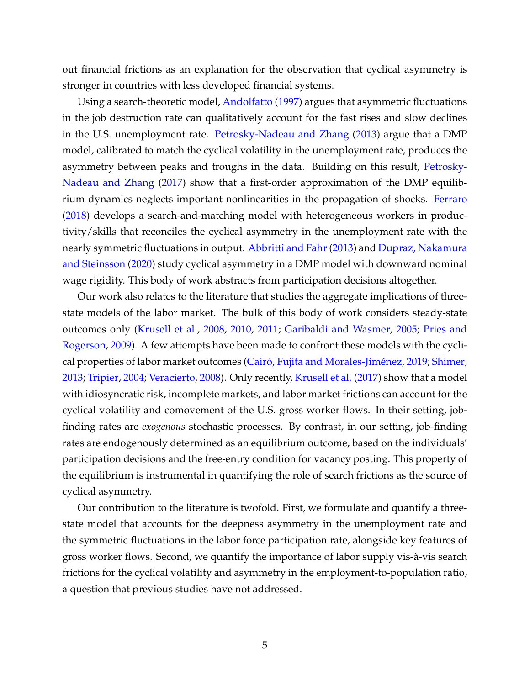out financial frictions as an explanation for the observation that cyclical asymmetry is stronger in countries with less developed financial systems.

Using a search-theoretic model, [Andolfatto](#page-35-0) [\(1997\)](#page-35-0) argues that asymmetric fluctuations in the job destruction rate can qualitatively account for the fast rises and slow declines in the U.S. unemployment rate. [Petrosky-Nadeau and Zhang](#page-38-2) [\(2013\)](#page-38-2) argue that a DMP model, calibrated to match the cyclical volatility in the unemployment rate, produces the asymmetry between peaks and troughs in the data. Building on this result, [Petrosky-](#page-39-2)[Nadeau and Zhang](#page-39-2) [\(2017\)](#page-39-2) show that a first-order approximation of the DMP equilibrium dynamics neglects important nonlinearities in the propagation of shocks. [Ferraro](#page-36-3) [\(2018\)](#page-36-3) develops a search-and-matching model with heterogeneous workers in productivity/skills that reconciles the cyclical asymmetry in the unemployment rate with the nearly symmetric fluctuations in output. [Abbritti and Fahr](#page-35-1) [\(2013\)](#page-35-1) and [Dupraz, Nakamura](#page-36-1) [and Steinsson](#page-36-1) [\(2020\)](#page-36-1) study cyclical asymmetry in a DMP model with downward nominal wage rigidity. This body of work abstracts from participation decisions altogether.

Our work also relates to the literature that studies the aggregate implications of threestate models of the labor market. The bulk of this body of work considers steady-state outcomes only [\(Krusell et al.,](#page-38-5) [2008,](#page-38-5) [2010,](#page-38-6) [2011;](#page-38-7) [Garibaldi and Wasmer,](#page-37-4) [2005;](#page-37-4) [Pries and](#page-39-9) [Rogerson,](#page-39-9) [2009\)](#page-39-9). A few attempts have been made to confront these models with the cyclical properties of labor market outcomes [\(Cairó, Fujita and Morales-Jiménez,](#page-36-5) [2019;](#page-36-5) [Shimer,](#page-39-5) [2013;](#page-39-5) [Tripier,](#page-39-6) [2004;](#page-39-6) [Veracierto,](#page-39-7) [2008\)](#page-39-7). Only recently, [Krusell et al.](#page-38-8) [\(2017\)](#page-38-8) show that a model with idiosyncratic risk, incomplete markets, and labor market frictions can account for the cyclical volatility and comovement of the U.S. gross worker flows. In their setting, jobfinding rates are *exogenous* stochastic processes. By contrast, in our setting, job-finding rates are endogenously determined as an equilibrium outcome, based on the individuals' participation decisions and the free-entry condition for vacancy posting. This property of the equilibrium is instrumental in quantifying the role of search frictions as the source of cyclical asymmetry.

Our contribution to the literature is twofold. First, we formulate and quantify a threestate model that accounts for the deepness asymmetry in the unemployment rate and the symmetric fluctuations in the labor force participation rate, alongside key features of gross worker flows. Second, we quantify the importance of labor supply vis-à-vis search frictions for the cyclical volatility and asymmetry in the employment-to-population ratio, a question that previous studies have not addressed.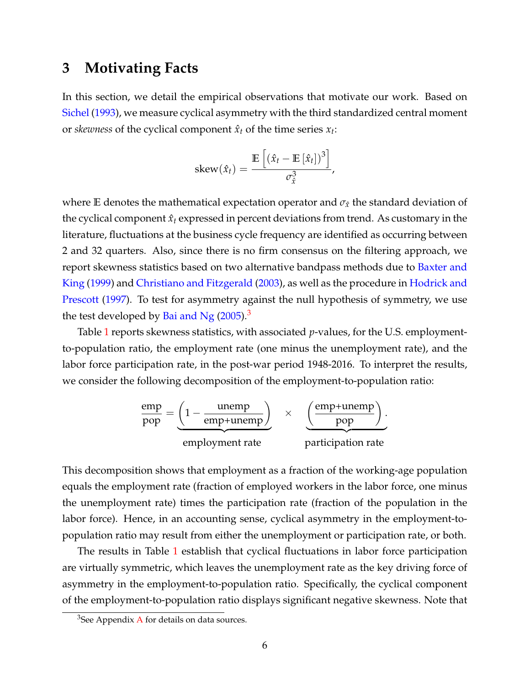## <span id="page-6-0"></span>**3 Motivating Facts**

In this section, we detail the empirical observations that motivate our work. Based on [Sichel](#page-39-0) [\(1993\)](#page-39-0), we measure cyclical asymmetry with the third standardized central moment or *skewness* of the cyclical component  $\hat{x}_t$  of the time series  $x_t$ :

$$
skew(\hat{x}_t) = \frac{\mathbb{E}\left[\left(\hat{x}_t - \mathbb{E}\left[\hat{x}_t\right]\right)^3\right]}{\sigma_x^3},
$$

where **E** denotes the mathematical expectation operator and  $\sigma_{\hat{x}}$  the standard deviation of the cyclical component  $\hat{x}_t$  expressed in percent deviations from trend. As customary in the literature, fluctuations at the business cycle frequency are identified as occurring between 2 and 32 quarters. Also, since there is no firm consensus on the filtering approach, we report skewness statistics based on two alternative bandpass methods due to [Baxter and](#page-36-6) [King](#page-36-6) [\(1999\)](#page-36-6) and [Christiano and Fitzgerald](#page-36-7) [\(2003\)](#page-36-7), as well as the procedure in [Hodrick and](#page-37-5) [Prescott](#page-37-5) [\(1997\)](#page-37-5). To test for asymmetry against the null hypothesis of symmetry, we use the test developed by [Bai and Ng](#page-35-3)  $(2005).<sup>3</sup>$  $(2005).<sup>3</sup>$  $(2005).<sup>3</sup>$  $(2005).<sup>3</sup>$ 

Table [1](#page-7-0) reports skewness statistics, with associated *p*-values, for the U.S. employmentto-population ratio, the employment rate (one minus the unemployment rate), and the labor force participation rate, in the post-war period 1948-2016. To interpret the results, we consider the following decomposition of the employment-to-population ratio:

$$
\frac{\text{emp}}{\text{pop}} = \underbrace{\left(1 - \frac{\text{unemp}}{\text{emp+unemp}}\right)}_{\text{employment rate}} \times \underbrace{\left(\frac{\text{emp+unemp}}{\text{pop}}\right)}_{\text{partition rate}}.
$$

This decomposition shows that employment as a fraction of the working-age population equals the employment rate (fraction of employed workers in the labor force, one minus the unemployment rate) times the participation rate (fraction of the population in the labor force). Hence, in an accounting sense, cyclical asymmetry in the employment-topopulation ratio may result from either the unemployment or participation rate, or both.

The results in Table [1](#page-7-0) establish that cyclical fluctuations in labor force participation are virtually symmetric, which leaves the unemployment rate as the key driving force of asymmetry in the employment-to-population ratio. Specifically, the cyclical component of the employment-to-population ratio displays significant negative skewness. Note that

<span id="page-6-1"></span> $3$ See [A](#page-40-0)ppendix A for details on data sources.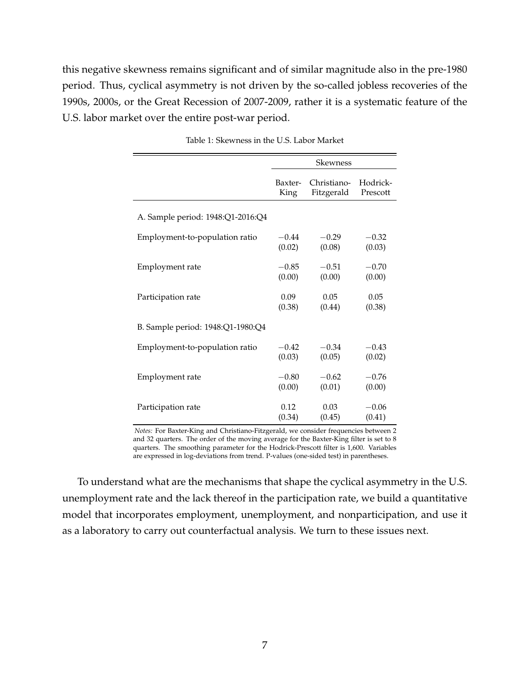this negative skewness remains significant and of similar magnitude also in the pre-1980 period. Thus, cyclical asymmetry is not driven by the so-called jobless recoveries of the 1990s, 2000s, or the Great Recession of 2007-2009, rather it is a systematic feature of the U.S. labor market over the entire post-war period.

<span id="page-7-0"></span>

|                                   | <b>Skewness</b> |             |          |  |  |  |
|-----------------------------------|-----------------|-------------|----------|--|--|--|
|                                   | Baxter-         | Christiano- | Hodrick- |  |  |  |
|                                   | King            | Fitzgerald  | Prescott |  |  |  |
| A. Sample period: 1948:Q1-2016:Q4 |                 |             |          |  |  |  |
| Employment-to-population ratio    | $-0.44$         | $-0.29$     | $-0.32$  |  |  |  |
|                                   | (0.02)          | (0.08)      | (0.03)   |  |  |  |
| Employment rate                   | $-0.85$         | $-0.51$     | $-0.70$  |  |  |  |
|                                   | (0.00)          | (0.00)      | (0.00)   |  |  |  |
| Participation rate                | 0.09            | 0.05        | 0.05     |  |  |  |
|                                   | (0.38)          | (0.44)      | (0.38)   |  |  |  |
| B. Sample period: 1948:Q1-1980:Q4 |                 |             |          |  |  |  |
| Employment-to-population ratio    | $-0.42$         | $-0.34$     | $-0.43$  |  |  |  |
|                                   | (0.03)          | (0.05)      | (0.02)   |  |  |  |
| Employment rate                   | $-0.80$         | $-0.62$     | $-0.76$  |  |  |  |
|                                   | (0.00)          | (0.01)      | (0.00)   |  |  |  |
| Participation rate                | 0.12            | 0.03        | $-0.06$  |  |  |  |
|                                   | (0.34)          | (0.45)      | (0.41)   |  |  |  |

Table 1: Skewness in the U.S. Labor Market

*Notes:* For Baxter-King and Christiano-Fitzgerald, we consider frequencies between 2 and 32 quarters. The order of the moving average for the Baxter-King filter is set to 8 quarters. The smoothing parameter for the Hodrick-Prescott filter is 1,600. Variables are expressed in log-deviations from trend. P-values (one-sided test) in parentheses.

To understand what are the mechanisms that shape the cyclical asymmetry in the U.S. unemployment rate and the lack thereof in the participation rate, we build a quantitative model that incorporates employment, unemployment, and nonparticipation, and use it as a laboratory to carry out counterfactual analysis. We turn to these issues next.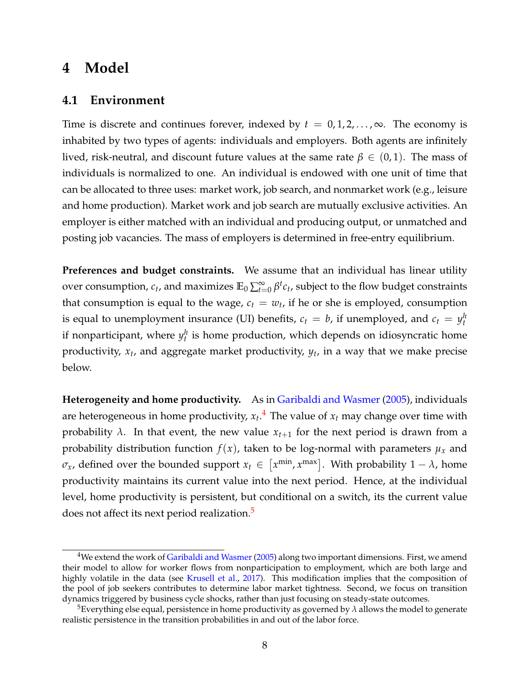## <span id="page-8-0"></span>**4 Model**

#### **4.1 Environment**

Time is discrete and continues forever, indexed by  $t = 0, 1, 2, \ldots, \infty$ . The economy is inhabited by two types of agents: individuals and employers. Both agents are infinitely lived, risk-neutral, and discount future values at the same rate  $β ∈ (0,1)$ . The mass of individuals is normalized to one. An individual is endowed with one unit of time that can be allocated to three uses: market work, job search, and nonmarket work (e.g., leisure and home production). Market work and job search are mutually exclusive activities. An employer is either matched with an individual and producing output, or unmatched and posting job vacancies. The mass of employers is determined in free-entry equilibrium.

**Preferences and budget constraints.** We assume that an individual has linear utility over consumption,  $c_t$ , and maximizes  $\mathbb{E}_0\sum_{t=0}^{\infty}\beta^t c_t$ , subject to the flow budget constraints that consumption is equal to the wage,  $c_t = w_t$ , if he or she is employed, consumption is equal to unemployment insurance (UI) benefits,  $c_t = b$ , if unemployed, and  $c_t = y_t^h$ if nonparticipant, where  $y_t^h$  is home production, which depends on idiosyncratic home productivity, *x<sup>t</sup>* , and aggregate market productivity, *y<sup>t</sup>* , in a way that we make precise below.

**Heterogeneity and home productivity.** As in [Garibaldi and Wasmer](#page-37-4) [\(2005\)](#page-37-4), individuals are heterogeneous in home productivity, *x<sup>t</sup>* . [4](#page-8-1) The value of *x<sup>t</sup>* may change over time with probability  $\lambda$ . In that event, the new value  $x_{t+1}$  for the next period is drawn from a probability distribution function  $f(x)$ , taken to be log-normal with parameters  $\mu_x$  and  $\sigma_x$ , defined over the bounded support  $x_t \in \left[ x^{\min} , x^{\max} \right]$ . With probability  $1 - \lambda$ , home productivity maintains its current value into the next period. Hence, at the individual level, home productivity is persistent, but conditional on a switch, its the current value does not affect its next period realization.<sup>[5](#page-8-2)</sup>

<span id="page-8-1"></span> $4$ We extend the work of [Garibaldi and Wasmer](#page-37-4) [\(2005\)](#page-37-4) along two important dimensions. First, we amend their model to allow for worker flows from nonparticipation to employment, which are both large and highly volatile in the data (see [Krusell et al.,](#page-38-8) [2017\)](#page-38-8). This modification implies that the composition of the pool of job seekers contributes to determine labor market tightness. Second, we focus on transition dynamics triggered by business cycle shocks, rather than just focusing on steady-state outcomes.

<span id="page-8-2"></span><sup>&</sup>lt;sup>5</sup>Everything else equal, persistence in home productivity as governed by  $\lambda$  allows the model to generate realistic persistence in the transition probabilities in and out of the labor force.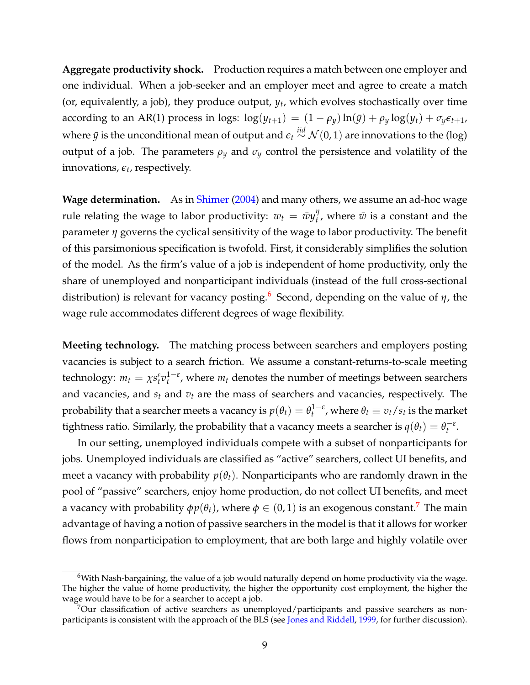**Aggregate productivity shock.** Production requires a match between one employer and one individual. When a job-seeker and an employer meet and agree to create a match (or, equivalently, a job), they produce output, *y<sup>t</sup>* , which evolves stochastically over time according to an AR(1) process in logs:  $\log(y_{t+1}) = (1 - \rho_y) \ln(\bar{y}) + \rho_y \log(y_t) + \sigma_y \epsilon_{t+1}$ where  $\bar{y}$  is the unconditional mean of output and  $\epsilon_t \stackrel{iid}{\sim} \mathcal{N}(0, 1)$  are innovations to the (log) output of a job. The parameters  $\rho_y$  and  $\sigma_y$  control the persistence and volatility of the innovations*,*  $\epsilon_t$ *,* respectively.

**Wage determination.** As in [Shimer](#page-39-10) [\(2004\)](#page-39-10) and many others, we assume an ad-hoc wage rule relating the wage to labor productivity:  $w_t = \bar{w}y_t^{\eta}$  $t'$ , where  $\bar{w}$  is a constant and the parameter *η* governs the cyclical sensitivity of the wage to labor productivity. The benefit of this parsimonious specification is twofold. First, it considerably simplifies the solution of the model. As the firm's value of a job is independent of home productivity, only the share of unemployed and nonparticipant individuals (instead of the full cross-sectional distribution) is relevant for vacancy posting.[6](#page-9-0) Second, depending on the value of *η*, the wage rule accommodates different degrees of wage flexibility.

**Meeting technology.** The matching process between searchers and employers posting vacancies is subject to a search friction. We assume a constant-returns-to-scale meeting technology:  $m_t = \chi s_t^{\varepsilon} v_t^{1-\varepsilon}$ , where  $m_t$  denotes the number of meetings between searchers and vacancies, and  $s_t$  and  $v_t$  are the mass of searchers and vacancies, respectively. The probability that a searcher meets a vacancy is  $p(\theta_t) = \theta_t^{1-\varepsilon}$ , where  $\theta_t \equiv v_t/s_t$  is the market tightness ratio. Similarly, the probability that a vacancy meets a searcher is  $q(\theta_t) = \theta_t^{-\varepsilon}$ .

In our setting, unemployed individuals compete with a subset of nonparticipants for jobs. Unemployed individuals are classified as "active" searchers, collect UI benefits, and meet a vacancy with probability  $p(\theta_t)$ . Nonparticipants who are randomly drawn in the pool of "passive" searchers, enjoy home production, do not collect UI benefits, and meet a vacancy with probability  $\phi p(\theta_t)$ , where  $\phi \in (0,1)$  is an exogenous constant.<sup>[7](#page-9-1)</sup> The main advantage of having a notion of passive searchers in the model is that it allows for worker flows from nonparticipation to employment, that are both large and highly volatile over

<span id="page-9-0"></span><sup>6</sup>With Nash-bargaining, the value of a job would naturally depend on home productivity via the wage. The higher the value of home productivity, the higher the opportunity cost employment, the higher the wage would have to be for a searcher to accept a job.

<span id="page-9-1"></span> $7$ Our classification of active searchers as unemployed/participants and passive searchers as non-participants is consistent with the approach of the BLS (see [Jones and Riddell,](#page-37-6) [1999,](#page-37-6) for further discussion).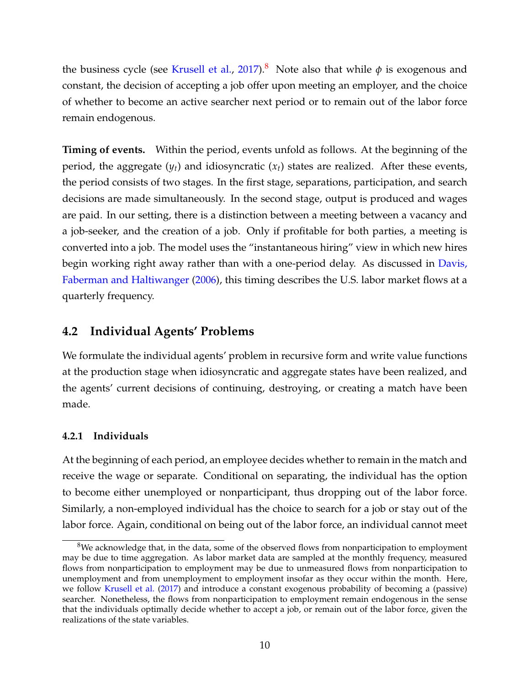the business cycle (see [Krusell et al.,](#page-38-8) [2017\)](#page-38-8).<sup>[8](#page-10-0)</sup> Note also that while  $\phi$  is exogenous and constant, the decision of accepting a job offer upon meeting an employer, and the choice of whether to become an active searcher next period or to remain out of the labor force remain endogenous.

**Timing of events.** Within the period, events unfold as follows. At the beginning of the period, the aggregate  $(y_t)$  and idiosyncratic  $(x_t)$  states are realized. After these events, the period consists of two stages. In the first stage, separations, participation, and search decisions are made simultaneously. In the second stage, output is produced and wages are paid. In our setting, there is a distinction between a meeting between a vacancy and a job-seeker, and the creation of a job. Only if profitable for both parties, a meeting is converted into a job. The model uses the "instantaneous hiring" view in which new hires begin working right away rather than with a one-period delay. As discussed in [Davis,](#page-36-8) [Faberman and Haltiwanger](#page-36-8) [\(2006\)](#page-36-8), this timing describes the U.S. labor market flows at a quarterly frequency.

### **4.2 Individual Agents' Problems**

We formulate the individual agents' problem in recursive form and write value functions at the production stage when idiosyncratic and aggregate states have been realized, and the agents' current decisions of continuing, destroying, or creating a match have been made.

#### **4.2.1 Individuals**

At the beginning of each period, an employee decides whether to remain in the match and receive the wage or separate. Conditional on separating, the individual has the option to become either unemployed or nonparticipant, thus dropping out of the labor force. Similarly, a non-employed individual has the choice to search for a job or stay out of the labor force. Again, conditional on being out of the labor force, an individual cannot meet

<span id="page-10-0"></span><sup>&</sup>lt;sup>8</sup>We acknowledge that, in the data, some of the observed flows from nonparticipation to employment may be due to time aggregation. As labor market data are sampled at the monthly frequency, measured flows from nonparticipation to employment may be due to unmeasured flows from nonparticipation to unemployment and from unemployment to employment insofar as they occur within the month. Here, we follow [Krusell et al.](#page-38-8) [\(2017\)](#page-38-8) and introduce a constant exogenous probability of becoming a (passive) searcher. Nonetheless, the flows from nonparticipation to employment remain endogenous in the sense that the individuals optimally decide whether to accept a job, or remain out of the labor force, given the realizations of the state variables.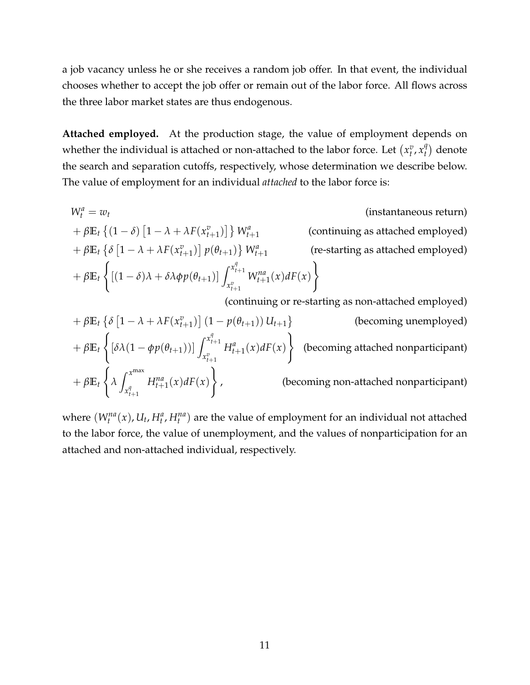a job vacancy unless he or she receives a random job offer. In that event, the individual chooses whether to accept the job offer or remain out of the labor force. All flows across the three labor market states are thus endogenous.

**Attached employed.** At the production stage, the value of employment depends on whether the individual is attached or non-attached to the labor force. Let  $(x_t^v, x_t^q)$  $\binom{q}{t}$  denote the search and separation cutoffs, respectively, whose determination we describe below. The value of employment for an individual *attached* to the labor force is:

$$
W_t^a = w_t
$$
 (instantaneous return)  
+  $\beta \mathbb{E}_t \{(1-\delta) [1-\lambda + \lambda F(x_{t+1}^v)]\} W_{t+1}^a$  (continuing as attached employed)  
+  $\beta \mathbb{E}_t \{\delta [1-\lambda + \lambda F(x_{t+1}^v)] p(\theta_{t+1})\} W_{t+1}^a$  (rectating as attached employed)  
+  $\beta \mathbb{E}_t \{(1-\delta)\lambda + \delta \lambda \phi p(\theta_{t+1})] \int_{x_{t+1}^v}^{x_{t+1}^q} W_{t+1}^{na}(x) dF(x)\}$   
(continuing or re-starting as non-attached employed)  
(continuing or re-starting as non-attached employed)

$$
+\beta \mathbb{E}_{t} \left\{ \delta \left[ 1 - \lambda + \lambda F(x_{t+1}^{v}) \right] (1 - p(\theta_{t+1})) U_{t+1} \right\} \qquad \text{(becoming unemployed)}
$$
\n
$$
+\beta \mathbb{E}_{t} \left\{ \left[ \delta \lambda (1 - \phi p(\theta_{t+1})) \right] \int_{x_{t+1}^{v}}^{x_{t+1}^{q}} H_{t+1}^{a}(x) dF(x) \right\} \qquad \text{(becoming attached nonparticipant)}
$$
\n
$$
+\beta \mathbb{E}_{t} \left\{ \lambda \int_{x_{t+1}^{q}}^{x^{\max}} H_{t+1}^{na}(x) dF(x) \right\}, \qquad \text{(becoming non-attached nonparticipant)}
$$

where  $(W_t^{na}(x), U_t, H_t^a, H_t^{na})$  are the value of employment for an individual not attached to the labor force, the value of unemployment, and the values of nonparticipation for an attached and non-attached individual, respectively.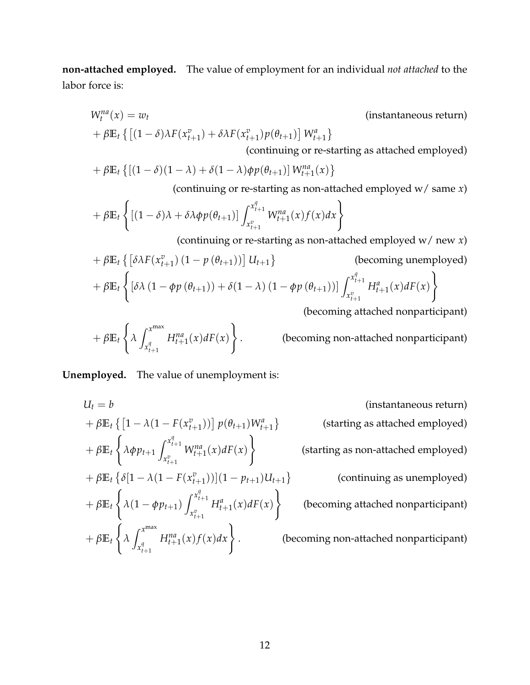**non-attached employed.** The value of employment for an individual *not attached* to the labor force is:

$$
W_t^{na}(x) = w_t
$$
 (instantaneous return)  
+  $\beta \mathbb{E}_t \{ [(1 - \delta)\lambda F(x_{t+1}^v) + \delta \lambda F(x_{t+1}^v) p(\theta_{t+1})] W_{t+1}^a \}$ 

(continuing or re-starting as attached employed)

$$
+\beta \mathbb{E}_t\left\{ \left[ (1-\delta)(1-\lambda)+\delta(1-\lambda)\phi p(\theta_{t+1})\right] W_{t+1}^{na}(x) \right\}
$$

(continuing or re-starting as non-attached employed w/ same *x*)

$$
+\beta \mathbb{E}_t \left\{ \left[ (1-\delta)\lambda + \delta \lambda \phi p(\theta_{t+1}) \right] \int_{x_{t+1}^v}^{x_{t+1}^q} W_{t+1}^{na}(x) f(x) dx \right\}
$$

(continuing or re-starting as non-attached employed w/ new *x*)

$$
+\beta \mathbb{E}_{t} \left\{ \left[ \delta \lambda F(x_{t+1}^{v}) (1 - p(\theta_{t+1})) \right] U_{t+1} \right\} \qquad \text{(becoming unemployed)}
$$
  
+
$$
\beta \mathbb{E}_{t} \left\{ \left[ \delta \lambda (1 - \phi p(\theta_{t+1})) + \delta (1 - \lambda) (1 - \phi p(\theta_{t+1})) \right] \int_{x_{t+1}^{v}}^{x_{t+1}^{q}} H_{t+1}^{a}(x) dF(x) \right\}
$$

(becoming attached nonparticipant)

$$
+\beta \mathbb{E}_t \left\{ \lambda \int_{x_{t+1}^q}^{x^{\max}} H_{t+1}^{na}(x) dF(x) \right\}.
$$
 (becoming non-attached nonparticipant)

**Unemployed.** The value of unemployment is:

 $+$   $\beta \mathbb{E}_t$ 

 $+$   $\beta \mathbb{E}_t$ 

 $+$   $\beta \mathbb{E}_t$ 

 $\sqrt{ }$ 

 $\sqrt{ }$ 

 $\int$ *λ*

*λϕpt*+<sup>1</sup>

 $\int x^{\max}$  $x_{t+1}^q$ 

 $U_t = b$  (instantaneous return)  $+ \beta \mathbb{E}_t \left\{ \left[ 1 - \lambda (1 - F(x_{t+1}^v)) \right] p(\theta_{t+1}) W_{t+1}^a \right\}$ (starting as attached employed)  $\int x_{t+1}^q$  $x_{t+1}^v$  $W_{t+1}^{na}(x) dF(x)$  $\mathcal{L}$ (starting as non-attached employed)  $+ \beta \mathbb{E}_t \left\{ \delta[1 - \lambda(1 - F(x_{t+1}^v))](1 - p_{t+1})U_{t+1} \right\}$ (continuing as unemployed)  $\lambda(1 - \phi p_{t+1})$  $\int x_{t+1}^q$  $x_{t+1}^v$  $H_{t+1}^{a}(x) dF(x)$ ) (becoming attached nonparticipant)  $H_{t+1}^{na}(x) f(x) dx$ . (becoming non-attached nonparticipant)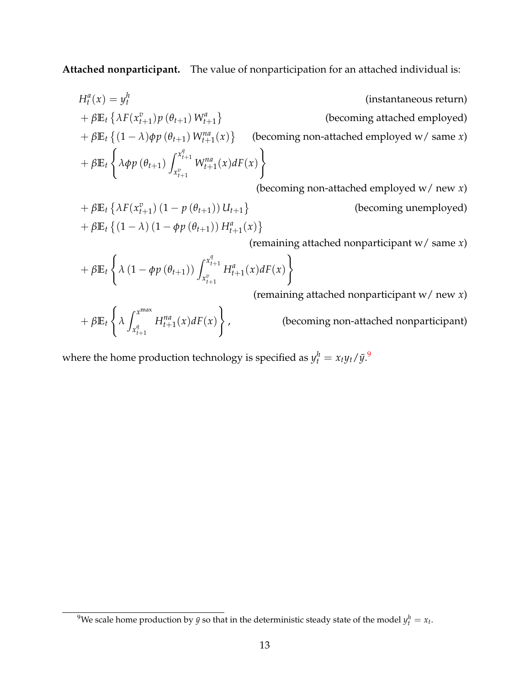**Attached nonparticipant.** The value of nonparticipation for an attached individual is:

$$
H_t^a(x) = y_t^h
$$
 (instantaneous return)  
+  $\beta \mathbb{E}_t \{ \lambda F(x_{t+1}^v) p(\theta_{t+1}) W_{t+1}^a \}$  (becoming attached employed)  
+  $\beta \mathbb{E}_t \{ (1 - \lambda) \phi p(\theta_{t+1}) W_{t+1}^{na}(x) \}$  (becoming non-attached employed w/ same x)  
+  $\beta \mathbb{E}_t \{ \lambda \phi p(\theta_{t+1}) \int_{x_{t+1}^v}^{x_{t+1}^q} W_{t+1}^{na}(x) dF(x) \}$   
(becoming non-attached employed w/ new x)  
+  $\beta \mathbb{E}_t \{ \lambda F(x_{t+1}^v) (1 - p(\theta_{t+1})) U_{t+1} \}$  (becoming unemployed)  
+  $\beta \mathbb{E}_t \{ (1 - \lambda) (1 - \phi p(\theta_{t+1})) H_{t+1}^a(x) \}$ 

(remaining attached nonparticipant w/ same *x*)

$$
+\beta \mathbb{E}_t \left\{ \lambda \left(1 - \phi p\left(\theta_{t+1}\right)\right) \int_{x_{t+1}^v}^{x_{t+1}^q} H_{t+1}^a(x) dF(x) \right\}
$$

(remaining attached nonparticipant w/ new *x*)

$$
+\beta\mathbb{E}_t\left\{\lambda\int_{x_{t+1}^q}^{x^{\max}}H_{t+1}^{na}(x)dF(x)\right\},\,
$$

, (becoming non-attached nonparticipant)

where the home production technology is specified as  $y_t^h = x_t y_t / \bar{y}$ .

<span id="page-13-0"></span><sup>&</sup>lt;sup>9</sup>We scale home production by  $\bar{y}$  so that in the deterministic steady state of the model  $y_t^h = x_t$ .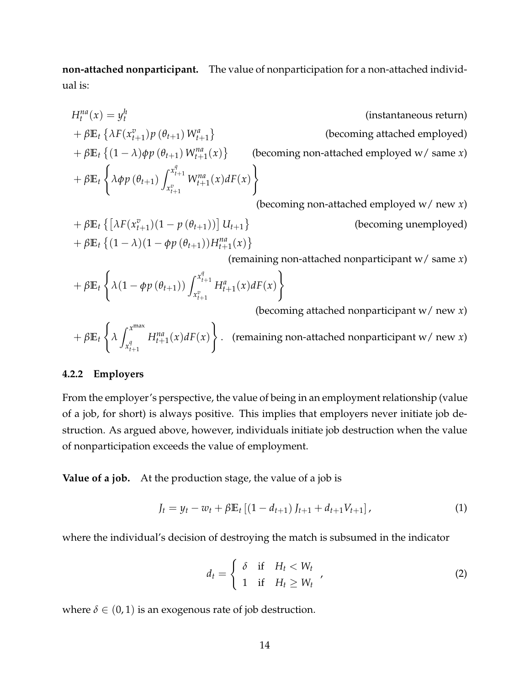**non-attached nonparticipant.** The value of nonparticipation for a non-attached individual is:

$$
H_t^{na}(x) = y_t^h
$$
 (instantaneous return)  
+  $\beta \mathbb{E}_t \{ \lambda F(x_{t+1}^v) p(\theta_{t+1}) W_{t+1}^a \}$  (becoming attached employed)  
+  $\beta \mathbb{E}_t \{ (1 - \lambda) \phi p(\theta_{t+1}) W_{t+1}^{na}(x) \}$  (becoming non-attached employed w/ same x)  
+  $\beta \mathbb{E}_t \{ \lambda \phi p(\theta_{t+1}) \int_{x_{t+1}^v}^{x_{t+1}^a} W_{t+1}^{na}(x) dF(x) \}$   
(becoming non-attached employed w/ new x)  
+  $\beta \mathbb{E}_t \{ [\lambda F(x_{t+1}^v)(1 - p(\theta_{t+1}))] U_{t+1} \}$  (becoming unemployed)  
+  $\beta \mathbb{E}_t \{ (1 - \lambda)(1 - \phi p(\theta_{t+1})) H_{t+1}^{na}(x) \}$ 

(remaining non-attached nonparticipant w/ same *x*)

$$
+\beta \mathbb{E}_{t} \left\{ \lambda (1 - \phi p\left(\theta_{t+1}\right)) \int_{x_{t+1}^{v}}^{x_{t+1}^{q}} H_{t+1}^{a}(x) dF(x) \right\}
$$
\n(becoming attached properties)

(becoming attached nonparticipant w/ new *x*)

$$
+\beta \mathbb{E}_t \left\{ \lambda \int_{x_{t+1}^q}^{x^{\max}} H_{t+1}^{na}(x) dF(x) \right\}.
$$
 (remaining non-attached nonparticipant w/ new x)

#### **4.2.2 Employers**

From the employer's perspective, the value of being in an employment relationship (value of a job, for short) is always positive. This implies that employers never initiate job destruction. As argued above, however, individuals initiate job destruction when the value of nonparticipation exceeds the value of employment.

**Value of a job.** At the production stage, the value of a job is

$$
J_t = y_t - w_t + \beta \mathbb{E}_t \left[ (1 - d_{t+1}) J_{t+1} + d_{t+1} V_{t+1} \right],
$$
\n(1)

where the individual's decision of destroying the match is subsumed in the indicator

$$
d_t = \begin{cases} \delta & \text{if} \quad H_t < W_t \\ 1 & \text{if} \quad H_t \geq W_t \end{cases} \tag{2}
$$

where  $\delta \in (0, 1)$  is an exogenous rate of job destruction.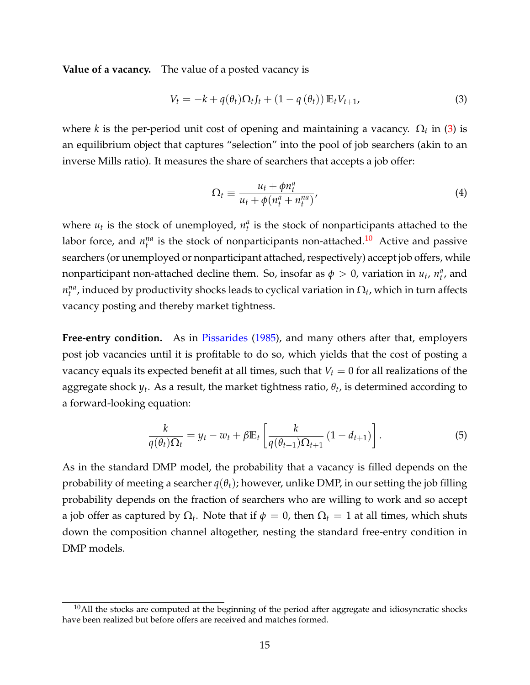**Value of a vacancy.** The value of a posted vacancy is

$$
V_t = -k + q(\theta_t)\Omega_t J_t + (1 - q(\theta_t)) \mathbb{E}_t V_{t+1},
$$
\n(3)

where *k* is the per-period unit cost of opening and maintaining a vacancy.  $\Omega_t$  in [\(3\)](#page-15-0) is an equilibrium object that captures "selection" into the pool of job searchers (akin to an inverse Mills ratio). It measures the share of searchers that accepts a job offer:

<span id="page-15-0"></span>
$$
\Omega_t \equiv \frac{u_t + \phi n_t^a}{u_t + \phi(n_t^a + n_t^{na})},\tag{4}
$$

where  $u_t$  is the stock of unemployed,  $n_t^a$  is the stock of nonparticipants attached to the labor force, and  $n_t^{na}$  is the stock of nonparticipants non-attached.<sup>[10](#page-15-1)</sup> Active and passive searchers (or unemployed or nonparticipant attached, respectively) accept job offers, while nonparticipant non-attached decline them. So, insofar as  $\phi > 0$ , variation in  $u_t$ ,  $n_t^a$ , and  $n_t^{na}$ , induced by productivity shocks leads to cyclical variation in  $\Omega_t$ , which in turn affects vacancy posting and thereby market tightness.

Free-entry condition. As in [Pissarides](#page-39-1) [\(1985\)](#page-39-1), and many others after that, employers post job vacancies until it is profitable to do so, which yields that the cost of posting a vacancy equals its expected benefit at all times, such that  $V_t = 0$  for all realizations of the aggregate shock *y<sup>t</sup>* . As a result, the market tightness ratio, *θ<sup>t</sup>* , is determined according to a forward-looking equation:

<span id="page-15-2"></span>
$$
\frac{k}{q(\theta_t)\Omega_t} = y_t - w_t + \beta \mathbb{E}_t \left[ \frac{k}{q(\theta_{t+1})\Omega_{t+1}} \left(1 - d_{t+1}\right) \right]. \tag{5}
$$

As in the standard DMP model, the probability that a vacancy is filled depends on the probability of meeting a searcher  $q(\theta_t)$ ; however, unlike DMP, in our setting the job filling probability depends on the fraction of searchers who are willing to work and so accept a job offer as captured by  $\Omega_t$ . Note that if  $\phi = 0$ , then  $\Omega_t = 1$  at all times, which shuts down the composition channel altogether, nesting the standard free-entry condition in DMP models.

<span id="page-15-1"></span> $10$ All the stocks are computed at the beginning of the period after aggregate and idiosyncratic shocks have been realized but before offers are received and matches formed.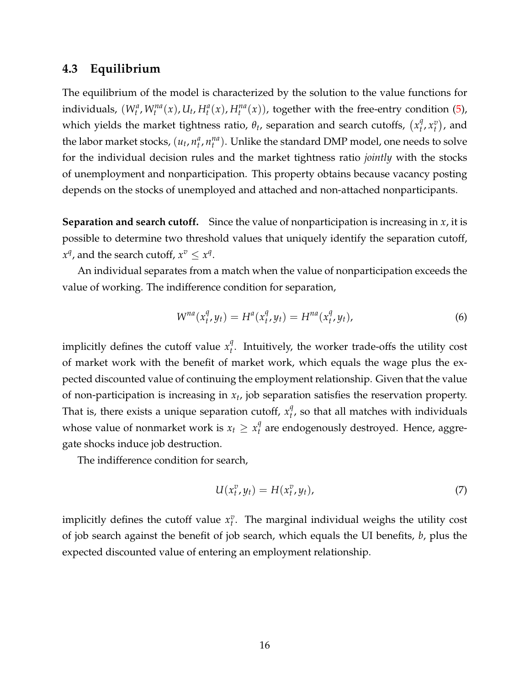## **4.3 Equilibrium**

The equilibrium of the model is characterized by the solution to the value functions for individuals,  $(W_t^a, W_t^{na}(x), U_t, H_t^a(x), H_t^{na}(x))$ , together with the free-entry condition [\(5\)](#page-15-2), which yields the market tightness ratio,  $\theta_t$ , separation and search cutoffs,  $\left(x_t^q\right)$  $_{t}^{q}$ , $x_{t}^{v}$ ), and the labor market stocks,  $(u_t, n_t^a, n_t^{na})$ . Unlike the standard DMP model, one needs to solve for the individual decision rules and the market tightness ratio *jointly* with the stocks of unemployment and nonparticipation. This property obtains because vacancy posting depends on the stocks of unemployed and attached and non-attached nonparticipants.

**Separation and search cutoff.** Since the value of nonparticipation is increasing in *x*, it is possible to determine two threshold values that uniquely identify the separation cutoff,  $x^q$ , and the search cutoff,  $x^v \leq x^q$ .

An individual separates from a match when the value of nonparticipation exceeds the value of working. The indifference condition for separation,

<span id="page-16-0"></span>
$$
W^{na}(x_t^q, y_t) = H^a(x_t^q, y_t) = H^{na}(x_t^q, y_t),
$$
\n(6)

implicitly defines the cutoff value  $x_t^q$ *t* . Intuitively, the worker trade-offs the utility cost of market work with the benefit of market work, which equals the wage plus the expected discounted value of continuing the employment relationship. Given that the value of non-participation is increasing in *x<sup>t</sup>* , job separation satisfies the reservation property. That is, there exists a unique separation cutoff,  $x_t^q$ *t* , so that all matches with individuals whose value of nonmarket work is  $x_t \geq x_t^q$ *t* are endogenously destroyed. Hence, aggregate shocks induce job destruction.

The indifference condition for search,

<span id="page-16-1"></span>
$$
U(x_t^v, y_t) = H(x_t^v, y_t), \tag{7}
$$

implicitly defines the cutoff value  $x_t^v$ . The marginal individual weighs the utility cost of job search against the benefit of job search, which equals the UI benefits, *b*, plus the expected discounted value of entering an employment relationship.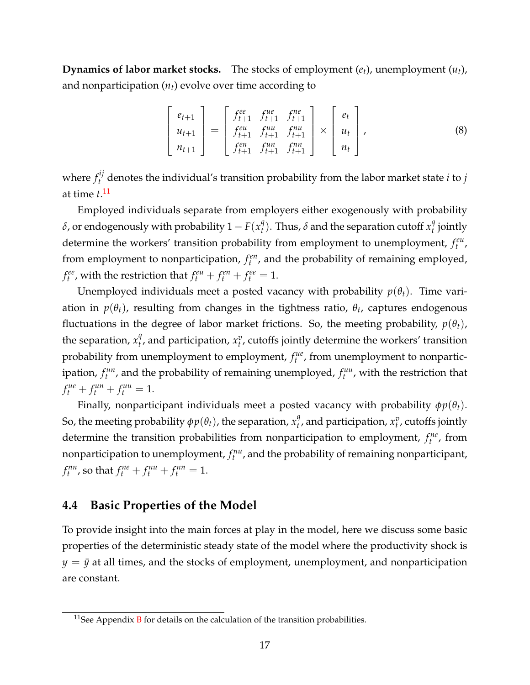**Dynamics of labor market stocks.** The stocks of employment (*et*), unemployment (*ut*), and nonparticipation  $(n_t)$  evolve over time according to

$$
\begin{bmatrix} e_{t+1} \\ u_{t+1} \\ n_{t+1} \end{bmatrix} = \begin{bmatrix} f_{t+1}^{ee} & f_{t+1}^{ue} & f_{t+1}^{ne} \\ f_{t+1}^{eu} & f_{t+1}^{uu} & f_{t+1}^{nu} \\ f_{t+1}^{en} & f_{t+1}^{un} & f_{t+1}^{nn} \end{bmatrix} \times \begin{bmatrix} e_t \\ u_t \\ u_t \end{bmatrix},
$$
\n(8)

where  $f_t^{ij}$  denotes the individual's transition probability from the labor market state  $i$  to  $j$ at time *t*. [11](#page-17-0)

Employed individuals separate from employers either exogenously with probability  $\delta$ , or endogenously with probability  $1-F(x^q_t)$  $\sigma_t^q$ ). Thus,  $\delta$  and the separation cutoff  $x_t^q$ *t* jointly determine the workers' transition probability from employment to unemployment,  $f_t^{eu}$ , from employment to nonparticipation,  $f_t^{en}$ , and the probability of remaining employed, *f*<sup>*ee*</sup></sup>, with the restriction that  $f_t^{eu} + f_t^{en} + f_t^{ee} = 1$ .

Unemployed individuals meet a posted vacancy with probability  $p(\theta_t)$ . Time variation in *p*(*θt*), resulting from changes in the tightness ratio, *θ<sup>t</sup>* , captures endogenous fluctuations in the degree of labor market frictions. So, the meeting probability,  $p(\theta_t)$ , the separation,  $x_t^q$  $\mathbf{v}_t^q$ , and participation,  $\mathbf{x}_t^v$ , cutoffs jointly determine the workers' transition probability from unemployment to employment,  $f_t^{ue}$ , from unemployment to nonparticipation,  $f_t^{un}$ , and the probability of remaining unemployed,  $f_t^{uu}$ , with the restriction that  $f_t^{ue} + f_t^{un} + f_t^{uu} = 1.$ 

Finally, nonparticipant individuals meet a posted vacancy with probability  $\phi p(\theta_t)$ . So, the meeting probability  $\phi p(\theta_t)$ , the separation,  $x_t^q$  $\mathbf{f}_t^q$ , and participation,  $x_t^v$ , cutoffs jointly determine the transition probabilities from nonparticipation to employment,  $f_t^{ne}$ , from nonparticipation to unemployment,  $f_t^{nu}$ , and the probability of remaining nonparticipant, *f*<sup>*nn*</sup></sup>, so that  $f_t^{ne} + f_t^{nu} + f_t^{nn} = 1$ .

#### **4.4 Basic Properties of the Model**

To provide insight into the main forces at play in the model, here we discuss some basic properties of the deterministic steady state of the model where the productivity shock is  $y = \bar{y}$  at all times, and the stocks of employment, unemployment, and nonparticipation are constant.

<span id="page-17-0"></span> $11$ See Appendix [B](#page-40-1) for details on the calculation of the transition probabilities.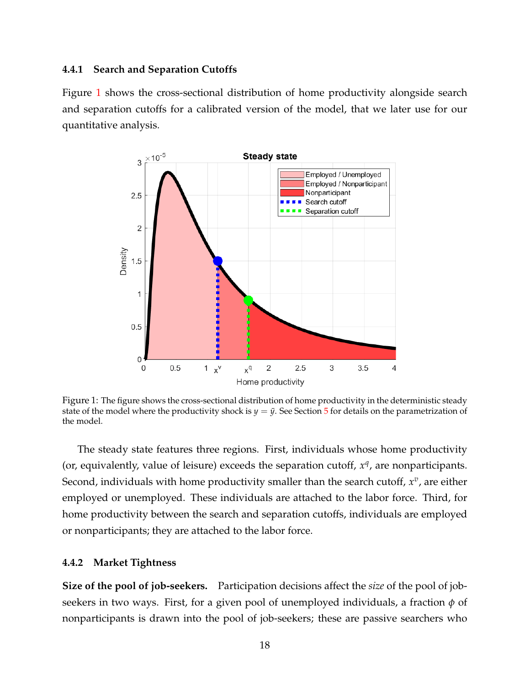#### **4.4.1 Search and Separation Cutoffs**

<span id="page-18-0"></span>Figure [1](#page-18-0) shows the cross-sectional distribution of home productivity alongside search and separation cutoffs for a calibrated version of the model, that we later use for our quantitative analysis.



Figure 1: The figure shows the cross-sectional distribution of home productivity in the deterministic steady state of the model where the productivity shock is  $y = \bar{y}$ . See Section [5](#page-20-0) for details on the parametrization of the model.

The steady state features three regions. First, individuals whose home productivity (or, equivalently, value of leisure) exceeds the separation cutoff,  $x<sup>q</sup>$ , are nonparticipants. Second, individuals with home productivity smaller than the search cutoff,  $x^v$ , are either employed or unemployed. These individuals are attached to the labor force. Third, for home productivity between the search and separation cutoffs, individuals are employed or nonparticipants; they are attached to the labor force.

#### **4.4.2 Market Tightness**

**Size of the pool of job-seekers.** Participation decisions affect the *size* of the pool of jobseekers in two ways. First, for a given pool of unemployed individuals, a fraction  $\phi$  of nonparticipants is drawn into the pool of job-seekers; these are passive searchers who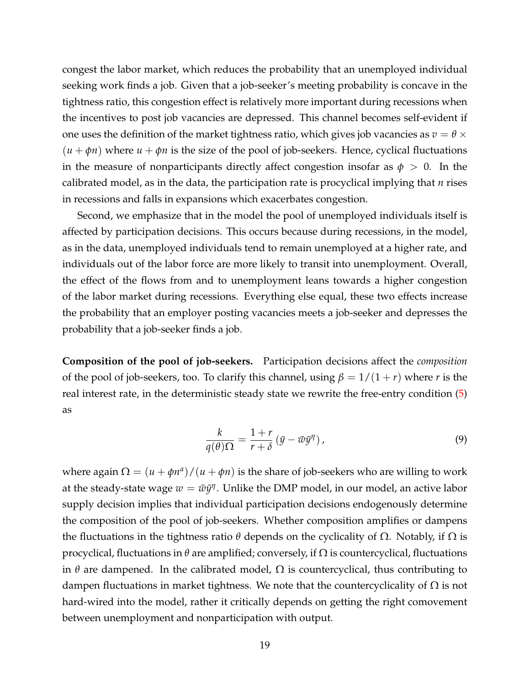congest the labor market, which reduces the probability that an unemployed individual seeking work finds a job. Given that a job-seeker's meeting probability is concave in the tightness ratio, this congestion effect is relatively more important during recessions when the incentives to post job vacancies are depressed. This channel becomes self-evident if one uses the definition of the market tightness ratio, which gives job vacancies as  $v = \theta \times \theta$  $(u + \phi n)$  where  $u + \phi n$  is the size of the pool of job-seekers. Hence, cyclical fluctuations in the measure of nonparticipants directly affect congestion insofar as  $\phi > 0$ . In the calibrated model, as in the data, the participation rate is procyclical implying that *n* rises in recessions and falls in expansions which exacerbates congestion.

Second, we emphasize that in the model the pool of unemployed individuals itself is affected by participation decisions. This occurs because during recessions, in the model, as in the data, unemployed individuals tend to remain unemployed at a higher rate, and individuals out of the labor force are more likely to transit into unemployment. Overall, the effect of the flows from and to unemployment leans towards a higher congestion of the labor market during recessions. Everything else equal, these two effects increase the probability that an employer posting vacancies meets a job-seeker and depresses the probability that a job-seeker finds a job.

**Composition of the pool of job-seekers.** Participation decisions affect the *composition* of the pool of job-seekers, too. To clarify this channel, using  $\beta = 1/(1 + r)$  where *r* is the real interest rate, in the deterministic steady state we rewrite the free-entry condition [\(5\)](#page-15-2) as

$$
\frac{k}{q(\theta)\Omega} = \frac{1+r}{r+\delta} \left( \bar{y} - \bar{w}\bar{y}^{\eta} \right),\tag{9}
$$

where again  $\Omega = (u + \phi n^a)/(u + \phi n)$  is the share of job-seekers who are willing to work at the steady-state wage  $w = \bar{w}\bar{y}^{\eta}.$  Unlike the DMP model, in our model, an active labor supply decision implies that individual participation decisions endogenously determine the composition of the pool of job-seekers. Whether composition amplifies or dampens the fluctuations in the tightness ratio  $\theta$  depends on the cyclicality of  $\Omega$ . Notably, if  $\Omega$  is procyclical, fluctuations in *θ* are amplified; conversely, if Ω is countercyclical, fluctuations in  $\theta$  are dampened. In the calibrated model,  $\Omega$  is countercyclical, thus contributing to dampen fluctuations in market tightness. We note that the countercyclicality of  $\Omega$  is not hard-wired into the model, rather it critically depends on getting the right comovement between unemployment and nonparticipation with output.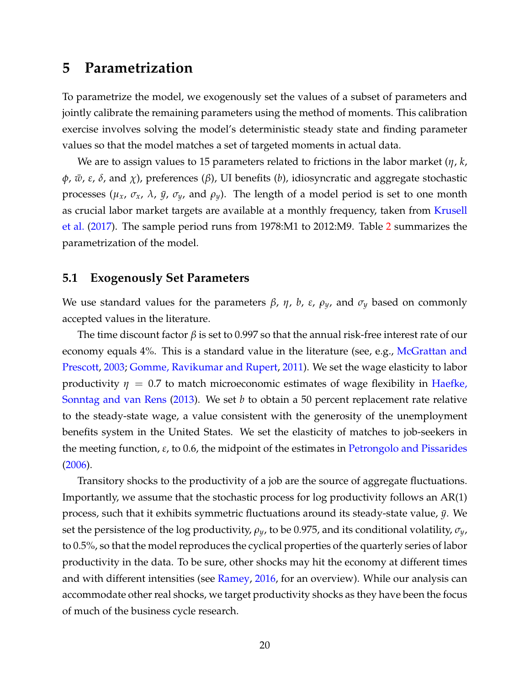## <span id="page-20-0"></span>**5 Parametrization**

To parametrize the model, we exogenously set the values of a subset of parameters and jointly calibrate the remaining parameters using the method of moments. This calibration exercise involves solving the model's deterministic steady state and finding parameter values so that the model matches a set of targeted moments in actual data.

We are to assign values to 15 parameters related to frictions in the labor market (*η*, *k*,  $\phi$ *,*  $\bar{w}$ *, ε, δ,* and *χ*), preferences (*β*), UI benefits (*b*), idiosyncratic and aggregate stochastic processes ( $\mu_x$ ,  $\sigma_x$ ,  $\lambda$ ,  $\bar{y}$ ,  $\sigma_y$ , and  $\rho_y$ ). The length of a model period is set to one month as crucial labor market targets are available at a monthly frequency, taken from [Krusell](#page-38-8) [et al.](#page-38-8) [\(2017\)](#page-38-8). The sample period runs from 1978:M1 to 2012:M9. Table [2](#page-21-0) summarizes the parametrization of the model.

#### **5.1 Exogenously Set Parameters**

We use standard values for the parameters  $β$ ,  $η$ ,  $b$ ,  $ε$ ,  $ρ$ <sub>y</sub>, and  $σ$ <sub>y</sub> based on commonly accepted values in the literature.

The time discount factor *β* is set to 0.997 so that the annual risk-free interest rate of our economy equals 4%. This is a standard value in the literature (see, e.g., [McGrattan and](#page-38-9) [Prescott,](#page-38-9) [2003;](#page-38-9) [Gomme, Ravikumar and Rupert,](#page-37-7) [2011\)](#page-37-7). We set the wage elasticity to labor productivity  $\eta = 0.7$  to match microeconomic estimates of wage flexibility in [Haefke,](#page-37-8) [Sonntag and van Rens](#page-37-8) [\(2013\)](#page-37-8). We set *b* to obtain a 50 percent replacement rate relative to the steady-state wage, a value consistent with the generosity of the unemployment benefits system in the United States. We set the elasticity of matches to job-seekers in the meeting function, *ε*, to 0.6, the midpoint of the estimates in [Petrongolo and Pissarides](#page-38-10) [\(2006\)](#page-38-10).

Transitory shocks to the productivity of a job are the source of aggregate fluctuations. Importantly, we assume that the stochastic process for log productivity follows an AR(1) process, such that it exhibits symmetric fluctuations around its steady-state value,  $\bar{y}$ . We set the persistence of the log productivity, *ρy*, to be 0.975, and its conditional volatility, *σy*, to 0.5%, so that the model reproduces the cyclical properties of the quarterly series of labor productivity in the data. To be sure, other shocks may hit the economy at different times and with different intensities (see [Ramey,](#page-39-11) [2016,](#page-39-11) for an overview). While our analysis can accommodate other real shocks, we target productivity shocks as they have been the focus of much of the business cycle research.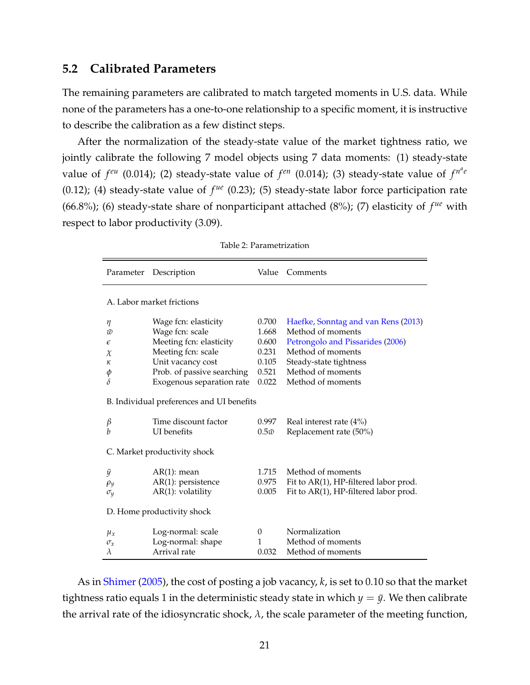#### **5.2 Calibrated Parameters**

The remaining parameters are calibrated to match targeted moments in U.S. data. While none of the parameters has a one-to-one relationship to a specific moment, it is instructive to describe the calibration as a few distinct steps.

After the normalization of the steady-state value of the market tightness ratio, we jointly calibrate the following 7 model objects using 7 data moments: (1) steady-state value of  $f^{eu}$  (0.014); (2) steady-state value of  $f^{en}$  (0.014); (3) steady-state value of  $f^{n^a e}$ (0.12); (4) steady-state value of  $f^{ue}$  (0.23); (5) steady-state labor force participation rate (66.8%); (6) steady-state share of nonparticipant attached (8%); (7) elasticity of  $f^{ue}$  with respect to labor productivity (3.09).

<span id="page-21-0"></span>

| Parameter                                             | Description                                                                                                                                                              | Value                                                       | Comments                                                                                                                                                                              |
|-------------------------------------------------------|--------------------------------------------------------------------------------------------------------------------------------------------------------------------------|-------------------------------------------------------------|---------------------------------------------------------------------------------------------------------------------------------------------------------------------------------------|
|                                                       | A. Labor market frictions                                                                                                                                                |                                                             |                                                                                                                                                                                       |
| η<br>$\bar{w}$<br>$\epsilon$<br>$\chi$<br>к<br>φ<br>δ | Wage fcn: elasticity<br>Wage fcn: scale<br>Meeting fcn: elasticity<br>Meeting fcn: scale<br>Unit vacancy cost<br>Prob. of passive searching<br>Exogenous separation rate | 0.700<br>1.668<br>0.600<br>0.231<br>0.105<br>0.521<br>0.022 | Haefke, Sonntag and van Rens (2013)<br>Method of moments<br>Petrongolo and Pissarides (2006)<br>Method of moments<br>Steady-state tightness<br>Method of moments<br>Method of moments |
|                                                       | B. Individual preferences and UI benefits                                                                                                                                |                                                             |                                                                                                                                                                                       |
| β<br>b                                                | Time discount factor<br><b>UI</b> benefits                                                                                                                               | 0.997<br>$0.5\bar{w}$                                       | Real interest rate $(4\%)$<br>Replacement rate (50%)                                                                                                                                  |
|                                                       | C. Market productivity shock                                                                                                                                             |                                                             |                                                                                                                                                                                       |
| ÿ<br>$\rho_y$<br>$\sigma_y$                           | $AR(1)$ : mean<br>$AR(1)$ : persistence<br>$AR(1)$ : volatility                                                                                                          | 1.715<br>0.975<br>0.005                                     | Method of moments<br>Fit to AR(1), HP-filtered labor prod.<br>Fit to AR(1), HP-filtered labor prod.                                                                                   |
|                                                       | D. Home productivity shock                                                                                                                                               |                                                             |                                                                                                                                                                                       |
| $\mu_x$<br>$\sigma_x$<br>$\lambda$                    | Log-normal: scale<br>Log-normal: shape<br>Arrival rate                                                                                                                   | $\theta$<br>1<br>0.032                                      | Normalization<br>Method of moments<br>Method of moments                                                                                                                               |

As in [Shimer](#page-39-12) [\(2005\)](#page-39-12), the cost of posting a job vacancy, *k*, is set to 0.10 so that the market tightness ratio equals 1 in the deterministic steady state in which  $y = \bar{y}$ . We then calibrate the arrival rate of the idiosyncratic shock,  $\lambda$ , the scale parameter of the meeting function,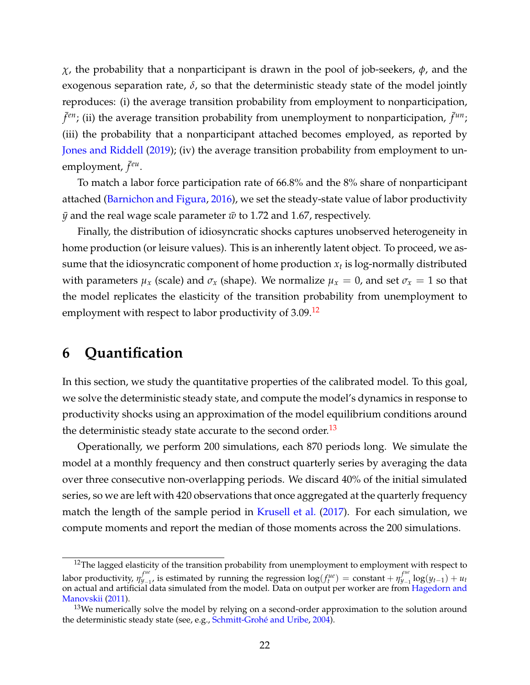*χ*, the probability that a nonparticipant is drawn in the pool of job-seekers, *ϕ*, and the exogenous separation rate,  $\delta$ , so that the deterministic steady state of the model jointly reproduces: (i) the average transition probability from employment to nonparticipation,  $\bar{f}^{en}$ ; (ii) the average transition probability from unemployment to nonparticipation,  $\bar{f}^{un}$ ; (iii) the probability that a nonparticipant attached becomes employed, as reported by [Jones and Riddell](#page-37-9) [\(2019\)](#page-37-9); (iv) the average transition probability from employment to unemployment,  $\bar{f}^{eu}$ .

To match a labor force participation rate of 66.8% and the 8% share of nonparticipant attached [\(Barnichon and Figura,](#page-35-4) [2016\)](#page-35-4), we set the steady-state value of labor productivity  $\bar{y}$  and the real wage scale parameter  $\bar{w}$  to 1.72 and 1.67, respectively.

Finally, the distribution of idiosyncratic shocks captures unobserved heterogeneity in home production (or leisure values). This is an inherently latent object. To proceed, we assume that the idiosyncratic component of home production *x<sup>t</sup>* is log-normally distributed with parameters  $\mu_x$  (scale) and  $\sigma_x$  (shape). We normalize  $\mu_x = 0$ , and set  $\sigma_x = 1$  so that the model replicates the elasticity of the transition probability from unemployment to employment with respect to labor productivity of 3.09.<sup>[12](#page-22-1)</sup>

## <span id="page-22-0"></span>**6 Quantification**

In this section, we study the quantitative properties of the calibrated model. To this goal, we solve the deterministic steady state, and compute the model's dynamics in response to productivity shocks using an approximation of the model equilibrium conditions around the deterministic steady state accurate to the second order.<sup>[13](#page-22-2)</sup>

Operationally, we perform 200 simulations, each 870 periods long. We simulate the model at a monthly frequency and then construct quarterly series by averaging the data over three consecutive non-overlapping periods. We discard 40% of the initial simulated series, so we are left with 420 observations that once aggregated at the quarterly frequency match the length of the sample period in [Krusell et al.](#page-38-8) [\(2017\)](#page-38-8). For each simulation, we compute moments and report the median of those moments across the 200 simulations.

<span id="page-22-1"></span><sup>&</sup>lt;sup>12</sup>The lagged elasticity of the transition probability from unemployment to employment with respect to labor productivity,  $\eta_{y_{-1}}^{f^{ue}}$  $y_{-1}^{fue}$ , is estimated by running the regression  $log(f_t^{ue}) = constant + \eta_{y_{-1}}^{fue}$ *y*−<sup>1</sup> log(*yt*−1) + *u<sup>t</sup>* on actual and artificial data simulated from the model. Data on output per worker are from [Hagedorn and](#page-37-10) [Manovskii](#page-37-10) [\(2011\)](#page-37-10).

<span id="page-22-2"></span> $13$ We numerically solve the model by relying on a second-order approximation to the solution around the deterministic steady state (see, e.g., [Schmitt-Grohé and Uribe,](#page-39-13) [2004\)](#page-39-13).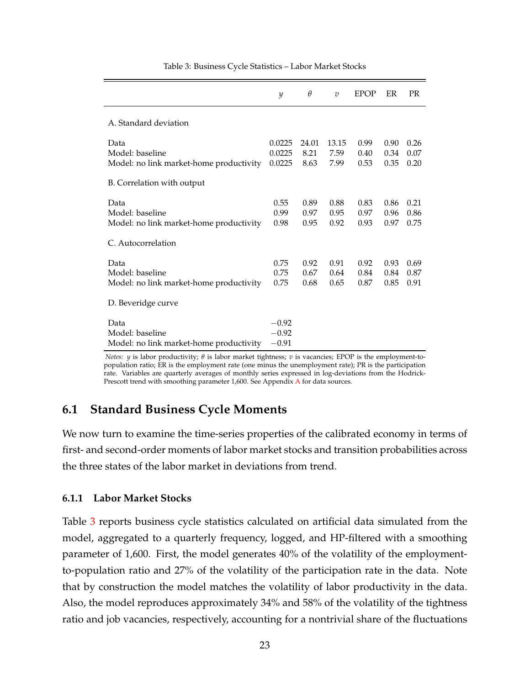<span id="page-23-0"></span>

|                                                                    | y                             | $\theta$              | $\overline{v}$        | <b>EPOP</b>          | ER                   | <b>PR</b>            |
|--------------------------------------------------------------------|-------------------------------|-----------------------|-----------------------|----------------------|----------------------|----------------------|
| A. Standard deviation                                              |                               |                       |                       |                      |                      |                      |
| Data<br>Model: baseline<br>Model: no link market-home productivity | 0.0225<br>0.0225<br>0.0225    | 24.01<br>8.21<br>8.63 | 13.15<br>7.59<br>7.99 | 0.99<br>0.40<br>0.53 | 0.90<br>0.34<br>0.35 | 0.26<br>0.07<br>0.20 |
| B. Correlation with output                                         |                               |                       |                       |                      |                      |                      |
| Data<br>Model: baseline<br>Model: no link market-home productivity | 0.55<br>0.99<br>0.98          | 0.89<br>0.97<br>0.95  | 0.88<br>0.95<br>0.92  | 0.83<br>0.97<br>0.93 | 0.86<br>0.96<br>0.97 | 0.21<br>0.86<br>0.75 |
| C. Autocorrelation                                                 |                               |                       |                       |                      |                      |                      |
| Data<br>Model: baseline<br>Model: no link market-home productivity | 0.75<br>0.75<br>0.75          | 0.92<br>0.67<br>0.68  | 0.91<br>0.64<br>0.65  | 0.92<br>0.84<br>0.87 | 0.93<br>0.84<br>0.85 | 0.69<br>0.87<br>0.91 |
| D. Beveridge curve                                                 |                               |                       |                       |                      |                      |                      |
| Data<br>Model: baseline<br>Model: no link market-home productivity | $-0.92$<br>$-0.92$<br>$-0.91$ |                       |                       |                      |                      |                      |

Table 3: Business Cycle Statistics – Labor Market Stocks

*Notes: y* is labor productivity; *θ* is labor market tightness; *v* is vacancies; EPOP is the employment-topopulation ratio; ER is the employment rate (one minus the unemployment rate); PR is the participation rate. Variables are quarterly averages of monthly series expressed in log-deviations from the Hodrick-Prescott trend with smoothing parameter 1,600. See [A](#page-40-0)ppendix A for data sources.

#### **6.1 Standard Business Cycle Moments**

We now turn to examine the time-series properties of the calibrated economy in terms of first- and second-order moments of labor market stocks and transition probabilities across the three states of the labor market in deviations from trend.

#### **6.1.1 Labor Market Stocks**

Table [3](#page-23-0) reports business cycle statistics calculated on artificial data simulated from the model, aggregated to a quarterly frequency, logged, and HP-filtered with a smoothing parameter of 1,600. First, the model generates 40% of the volatility of the employmentto-population ratio and 27% of the volatility of the participation rate in the data. Note that by construction the model matches the volatility of labor productivity in the data. Also, the model reproduces approximately 34% and 58% of the volatility of the tightness ratio and job vacancies, respectively, accounting for a nontrivial share of the fluctuations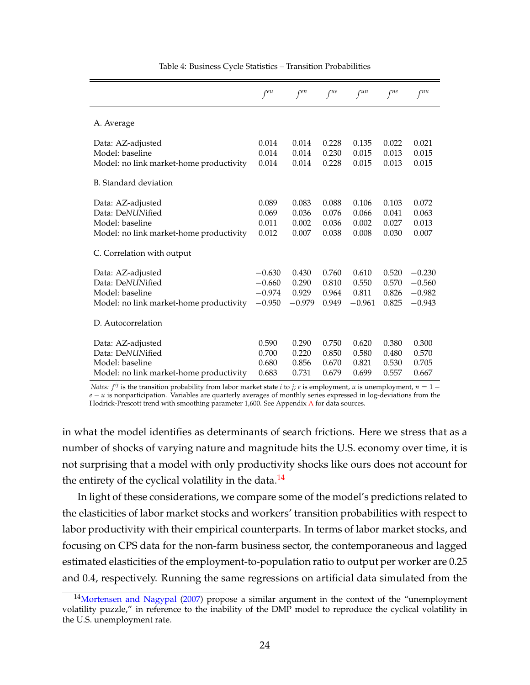<span id="page-24-1"></span>

|                                                                                                     | $f^{eu}$                                     | $f^{en}$                            | $f^{ue}$                         | $f^{un}$                            | $f^{ne}$                         | $f^{nu}$                                     |
|-----------------------------------------------------------------------------------------------------|----------------------------------------------|-------------------------------------|----------------------------------|-------------------------------------|----------------------------------|----------------------------------------------|
| A. Average                                                                                          |                                              |                                     |                                  |                                     |                                  |                                              |
| Data: AZ-adjusted<br>Model: baseline<br>Model: no link market-home productivity                     | 0.014<br>0.014<br>0.014                      | 0.014<br>0.014<br>0.014             | 0.228<br>0.230<br>0.228          | 0.135<br>0.015<br>0.015             | 0.022<br>0.013<br>0.013          | 0.021<br>0.015<br>0.015                      |
| B. Standard deviation                                                                               |                                              |                                     |                                  |                                     |                                  |                                              |
| Data: AZ-adjusted<br>Data: DeNUNified<br>Model: baseline<br>Model: no link market-home productivity | 0.089<br>0.069<br>0.011<br>0.012             | 0.083<br>0.036<br>0.002<br>0.007    | 0.088<br>0.076<br>0.036<br>0.038 | 0.106<br>0.066<br>0.002<br>0.008    | 0.103<br>0.041<br>0.027<br>0.030 | 0.072<br>0.063<br>0.013<br>0.007             |
| C. Correlation with output                                                                          |                                              |                                     |                                  |                                     |                                  |                                              |
| Data: AZ-adjusted<br>Data: DeNUNified<br>Model: baseline<br>Model: no link market-home productivity | $-0.630$<br>$-0.660$<br>$-0.974$<br>$-0.950$ | 0.430<br>0.290<br>0.929<br>$-0.979$ | 0.760<br>0.810<br>0.964<br>0.949 | 0.610<br>0.550<br>0.811<br>$-0.961$ | 0.520<br>0.570<br>0.826<br>0.825 | $-0.230$<br>$-0.560$<br>$-0.982$<br>$-0.943$ |
| D. Autocorrelation                                                                                  |                                              |                                     |                                  |                                     |                                  |                                              |
| Data: AZ-adjusted<br>Data: DeNUNified<br>Model: baseline<br>Model: no link market-home productivity | 0.590<br>0.700<br>0.680<br>0.683             | 0.290<br>0.220<br>0.856<br>0.731    | 0.750<br>0.850<br>0.670<br>0.679 | 0.620<br>0.580<br>0.821<br>0.699    | 0.380<br>0.480<br>0.530<br>0.557 | 0.300<br>0.570<br>0.705<br>0.667             |

Table 4: Business Cycle Statistics – Transition Probabilities

*Notes: f<sup>ij</sup>* is the transition probability from labor market state *i* to *j*; *e* is employment, *u* is unemployment, *n* = 1 − *e* − *u* is nonparticipation. Variables are quarterly averages of monthly series expressed in log-deviations from the Hodrick-Prescott trend with smoothing parameter 1,600. See [A](#page-40-0)ppendix A for data sources.

in what the model identifies as determinants of search frictions. Here we stress that as a number of shocks of varying nature and magnitude hits the U.S. economy over time, it is not surprising that a model with only productivity shocks like ours does not account for the entirety of the cyclical volatility in the data. $^{14}$  $^{14}$  $^{14}$ 

In light of these considerations, we compare some of the model's predictions related to the elasticities of labor market stocks and workers' transition probabilities with respect to labor productivity with their empirical counterparts. In terms of labor market stocks, and focusing on CPS data for the non-farm business sector, the contemporaneous and lagged estimated elasticities of the employment-to-population ratio to output per worker are 0.25 and 0.4, respectively. Running the same regressions on artificial data simulated from the

<span id="page-24-0"></span><sup>&</sup>lt;sup>14</sup>[Mortensen and Nagypal](#page-38-11) [\(2007\)](#page-38-11) propose a similar argument in the context of the "unemployment volatility puzzle," in reference to the inability of the DMP model to reproduce the cyclical volatility in the U.S. unemployment rate.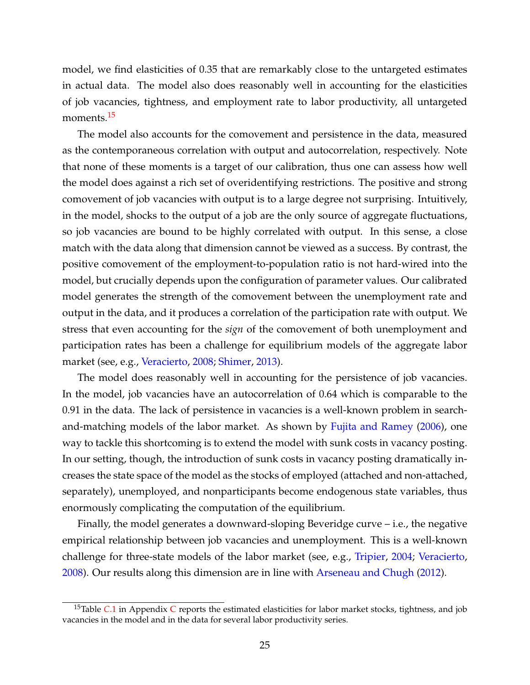model, we find elasticities of 0.35 that are remarkably close to the untargeted estimates in actual data. The model also does reasonably well in accounting for the elasticities of job vacancies, tightness, and employment rate to labor productivity, all untargeted moments.<sup>[15](#page-25-0)</sup>

The model also accounts for the comovement and persistence in the data, measured as the contemporaneous correlation with output and autocorrelation, respectively. Note that none of these moments is a target of our calibration, thus one can assess how well the model does against a rich set of overidentifying restrictions. The positive and strong comovement of job vacancies with output is to a large degree not surprising. Intuitively, in the model, shocks to the output of a job are the only source of aggregate fluctuations, so job vacancies are bound to be highly correlated with output. In this sense, a close match with the data along that dimension cannot be viewed as a success. By contrast, the positive comovement of the employment-to-population ratio is not hard-wired into the model, but crucially depends upon the configuration of parameter values. Our calibrated model generates the strength of the comovement between the unemployment rate and output in the data, and it produces a correlation of the participation rate with output. We stress that even accounting for the *sign* of the comovement of both unemployment and participation rates has been a challenge for equilibrium models of the aggregate labor market (see, e.g., [Veracierto,](#page-39-7) [2008;](#page-39-7) [Shimer,](#page-39-5) [2013\)](#page-39-5).

The model does reasonably well in accounting for the persistence of job vacancies. In the model, job vacancies have an autocorrelation of 0.64 which is comparable to the 0.91 in the data. The lack of persistence in vacancies is a well-known problem in searchand-matching models of the labor market. As shown by [Fujita and Ramey](#page-36-9) [\(2006\)](#page-36-9), one way to tackle this shortcoming is to extend the model with sunk costs in vacancy posting. In our setting, though, the introduction of sunk costs in vacancy posting dramatically increases the state space of the model as the stocks of employed (attached and non-attached, separately), unemployed, and nonparticipants become endogenous state variables, thus enormously complicating the computation of the equilibrium.

Finally, the model generates a downward-sloping Beveridge curve – i.e., the negative empirical relationship between job vacancies and unemployment. This is a well-known challenge for three-state models of the labor market (see, e.g., [Tripier,](#page-39-6) [2004;](#page-39-6) [Veracierto,](#page-39-7) [2008\)](#page-39-7). Our results along this dimension are in line with [Arseneau and Chugh](#page-35-5) [\(2012\)](#page-35-5).

<span id="page-25-0"></span><sup>&</sup>lt;sup>15</sup>Table *[C](#page-42-0)*[.1](#page-42-1) in Appendix *C* reports the estimated elasticities for labor market stocks, tightness, and job vacancies in the model and in the data for several labor productivity series.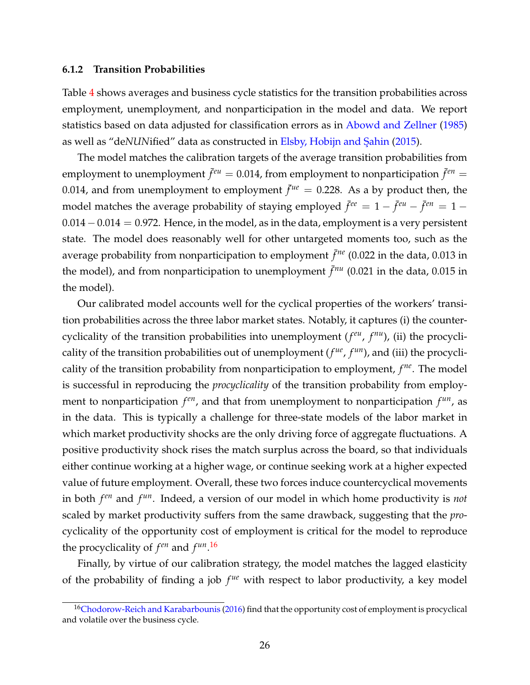#### **6.1.2 Transition Probabilities**

Table [4](#page-24-1) shows averages and business cycle statistics for the transition probabilities across employment, unemployment, and nonparticipation in the model and data. We report statistics based on data adjusted for classification errors as in [Abowd and Zellner](#page-35-6) [\(1985\)](#page-35-6) as well as "deNUNified" data as constructed in Elsby, Hobijn and Şahin [\(2015\)](#page-36-4).

The model matches the calibration targets of the average transition probabilities from employment to unemployment  $\bar{f}^{eu} = 0.014$ , from employment to nonparticipation  $\bar{f}^{en} =$ 0.014, and from unemployment to employment  $\bar{f}^{\mu e} = 0.228$ . As a by product then, the model matches the average probability of staying employed  $\bar{f}^{ee} = 1 - \bar{f}^{eu} - \bar{f}^{en} = 1 - \bar{f}^{eu}$ 0.014−0.014 = 0.972. Hence, in the model, as in the data, employment is a very persistent state. The model does reasonably well for other untargeted moments too, such as the average probability from nonparticipation to employment  $\bar{f}^{ne}$  (0.022 in the data, 0.013 in the model), and from nonparticipation to unemployment  $\bar{f}^{nu}$  (0.021 in the data, 0.015 in the model).

Our calibrated model accounts well for the cyclical properties of the workers' transition probabilities across the three labor market states. Notably, it captures (i) the countercyclicality of the transition probabilities into unemployment (*f eu* , *f nu*), (ii) the procyclicality of the transition probabilities out of unemployment  $(f^{ue}, f^{un})$ , and (iii) the procyclicality of the transition probability from nonparticipation to employment, *f ne*. The model is successful in reproducing the *procyclicality* of the transition probability from employment to nonparticipation  $f^{en}$ , and that from unemployment to nonparticipation  $f^{un}$ , as in the data. This is typically a challenge for three-state models of the labor market in which market productivity shocks are the only driving force of aggregate fluctuations. A positive productivity shock rises the match surplus across the board, so that individuals either continue working at a higher wage, or continue seeking work at a higher expected value of future employment. Overall, these two forces induce countercyclical movements in both *f en* and *f un*. Indeed, a version of our model in which home productivity is *not* scaled by market productivity suffers from the same drawback, suggesting that the *pro*cyclicality of the opportunity cost of employment is critical for the model to reproduce the procyclicality of  $f^{en}$  and  $f^{un}$ .<sup>[16](#page-26-0)</sup>

Finally, by virtue of our calibration strategy, the model matches the lagged elasticity of the probability of finding a job  $f^{ue}$  with respect to labor productivity, a key model

<span id="page-26-0"></span><sup>&</sup>lt;sup>16</sup>[Chodorow-Reich and Karabarbounis](#page-36-10) [\(2016\)](#page-36-10) find that the opportunity cost of employment is procyclical and volatile over the business cycle.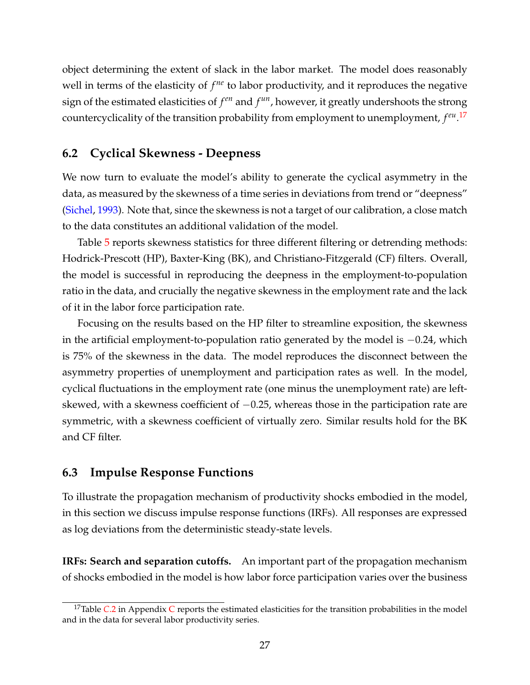object determining the extent of slack in the labor market. The model does reasonably well in terms of the elasticity of  $f^{ne}$  to labor productivity, and it reproduces the negative  $\mathbf{p}$  sign of the estimated elasticities of  $f^{en}$  and  $f^{un}$ , however, it greatly undershoots the strong countercyclicality of the transition probability from employment to unemployment, *f eu* . [17](#page-27-0)

#### **6.2 Cyclical Skewness - Deepness**

We now turn to evaluate the model's ability to generate the cyclical asymmetry in the data, as measured by the skewness of a time series in deviations from trend or "deepness" [\(Sichel,](#page-39-0) [1993\)](#page-39-0). Note that, since the skewness is not a target of our calibration, a close match to the data constitutes an additional validation of the model.

Table [5](#page-28-0) reports skewness statistics for three different filtering or detrending methods: Hodrick-Prescott (HP), Baxter-King (BK), and Christiano-Fitzgerald (CF) filters. Overall, the model is successful in reproducing the deepness in the employment-to-population ratio in the data, and crucially the negative skewness in the employment rate and the lack of it in the labor force participation rate.

Focusing on the results based on the HP filter to streamline exposition, the skewness in the artificial employment-to-population ratio generated by the model is −0.24, which is 75% of the skewness in the data. The model reproduces the disconnect between the asymmetry properties of unemployment and participation rates as well. In the model, cyclical fluctuations in the employment rate (one minus the unemployment rate) are leftskewed, with a skewness coefficient of  $-0.25$ , whereas those in the participation rate are symmetric, with a skewness coefficient of virtually zero. Similar results hold for the BK and CF filter.

#### **6.3 Impulse Response Functions**

To illustrate the propagation mechanism of productivity shocks embodied in the model, in this section we discuss impulse response functions (IRFs). All responses are expressed as log deviations from the deterministic steady-state levels.

**IRFs: Search and separation cutoffs.** An important part of the propagation mechanism of shocks embodied in the model is how labor force participation varies over the business

<span id="page-27-0"></span><sup>&</sup>lt;sup>17</sup>Table *[C](#page-42-0)*[.2](#page-43-0) in Appendix *C* reports the estimated elasticities for the transition probabilities in the model and in the data for several labor productivity series.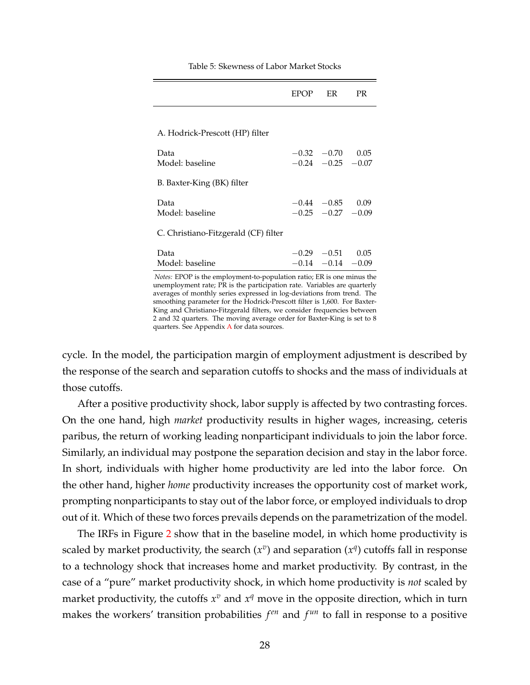<span id="page-28-0"></span>

|                                      | EPOP ER                                         | <b>PR</b> |
|--------------------------------------|-------------------------------------------------|-----------|
|                                      |                                                 |           |
| A. Hodrick-Prescott (HP) filter      |                                                 |           |
| Data<br>Model: baseline              | $-0.32 -0.70$<br>$-0.24$ $-0.25$ $-0.07$        | 0.05      |
| B. Baxter-King (BK) filter           |                                                 |           |
| Data<br>Model: baseline              | $-0.44$ $-0.85$ 0.09<br>$-0.25$ $-0.27$ $-0.09$ |           |
| C. Christiano-Fitzgerald (CF) filter |                                                 |           |
| Data<br>Model: baseline              | $-0.29$ $-0.51$ 0.05<br>$-0.14$ $-0.14$ $-0.09$ |           |

Table 5: Skewness of Labor Market Stocks

*Notes:* EPOP is the employment-to-population ratio; ER is one minus the unemployment rate; PR is the participation rate. Variables are quarterly averages of monthly series expressed in log-deviations from trend. The smoothing parameter for the Hodrick-Prescott filter is 1,600. For Baxter-King and Christiano-Fitzgerald filters, we consider frequencies between 2 and 32 quarters. The moving average order for Baxter-King is set to 8 quarters. See Appendix [A](#page-40-0) for data sources.

cycle. In the model, the participation margin of employment adjustment is described by the response of the search and separation cutoffs to shocks and the mass of individuals at those cutoffs.

After a positive productivity shock, labor supply is affected by two contrasting forces. On the one hand, high *market* productivity results in higher wages, increasing, ceteris paribus, the return of working leading nonparticipant individuals to join the labor force. Similarly, an individual may postpone the separation decision and stay in the labor force. In short, individuals with higher home productivity are led into the labor force. On the other hand, higher *home* productivity increases the opportunity cost of market work, prompting nonparticipants to stay out of the labor force, or employed individuals to drop out of it. Which of these two forces prevails depends on the parametrization of the model.

The IRFs in Figure [2](#page-29-0) show that in the baseline model, in which home productivity is scaled by market productivity, the search  $(x^v)$  and separation  $(x^q)$  cutoffs fall in response to a technology shock that increases home and market productivity. By contrast, in the case of a "pure" market productivity shock, in which home productivity is *not* scaled by market productivity, the cutoffs  $x^v$  and  $x^q$  move in the opposite direction, which in turn makes the workers' transition probabilities  $f^{en}$  and  $f^{un}$  to fall in response to a positive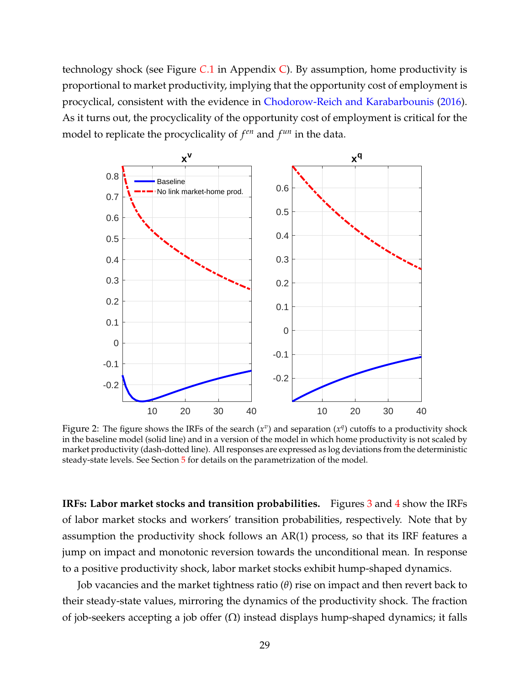technology shock (see Figure *C*[.1](#page-44-0) in Appendix [C\)](#page-42-0). By assumption, home productivity is proportional to market productivity, implying that the opportunity cost of employment is procyclical, consistent with the evidence in [Chodorow-Reich and Karabarbounis](#page-36-10) [\(2016\)](#page-36-10). As it turns out, the procyclicality of the opportunity cost of employment is critical for the model to replicate the procyclicality of  $f^{en}$  and  $f^{un}$  in the data.

<span id="page-29-0"></span>

Figure 2: The figure shows the IRFs of the search  $(x^v)$  and separation  $(x^q)$  cutoffs to a productivity shock in the baseline model (solid line) and in a version of the model in which home productivity is not scaled by market productivity (dash-dotted line). All responses are expressed as log deviations from the deterministic steady-state levels. See Section [5](#page-20-0) for details on the parametrization of the model.

**IRFs: Labor market stocks and transition probabilities.** Figures [3](#page-30-0) and [4](#page-31-0) show the IRFs of labor market stocks and workers' transition probabilities, respectively. Note that by assumption the productivity shock follows an AR(1) process, so that its IRF features a jump on impact and monotonic reversion towards the unconditional mean. In response to a positive productivity shock, labor market stocks exhibit hump-shaped dynamics.

Job vacancies and the market tightness ratio (*θ*) rise on impact and then revert back to their steady-state values, mirroring the dynamics of the productivity shock. The fraction of job-seekers accepting a job offer  $(Ω)$  instead displays hump-shaped dynamics; it falls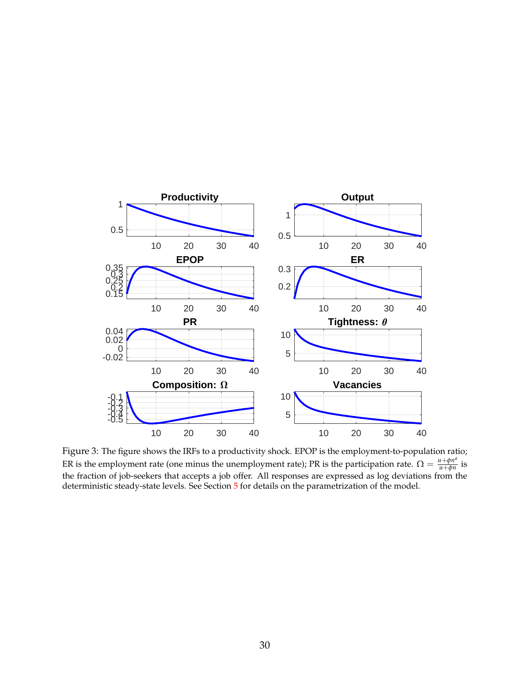<span id="page-30-0"></span>

Figure 3: The figure shows the IRFs to a productivity shock. EPOP is the employment-to-population ratio; ER is the employment rate (one minus the unemployment rate); PR is the participation rate.  $\Omega = \frac{u + \phi n^d}{u + \phi n}$  $\frac{u+\varphi u}{u+\varphi n}$  is the fraction of job-seekers that accepts a job offer. All responses are expressed as log deviations from the deterministic steady-state levels. See Section [5](#page-20-0) for details on the parametrization of the model.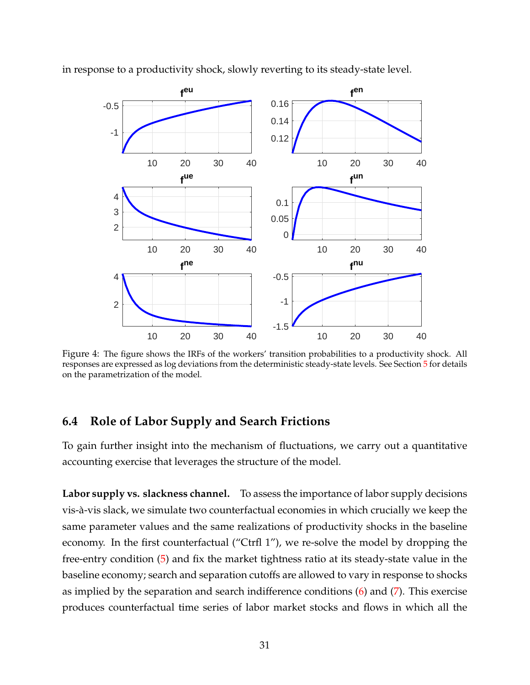

<span id="page-31-0"></span>in response to a productivity shock, slowly reverting to its steady-state level.

Figure 4: The figure shows the IRFs of the workers' transition probabilities to a productivity shock. All responses are expressed as log deviations from the deterministic steady-state levels. See Section [5](#page-20-0) for details on the parametrization of the model.

#### **6.4 Role of Labor Supply and Search Frictions**

To gain further insight into the mechanism of fluctuations, we carry out a quantitative accounting exercise that leverages the structure of the model.

**Labor supply vs. slackness channel.** To assess the importance of labor supply decisions vis-à-vis slack, we simulate two counterfactual economies in which crucially we keep the same parameter values and the same realizations of productivity shocks in the baseline economy. In the first counterfactual ("Ctrfl 1"), we re-solve the model by dropping the free-entry condition [\(5\)](#page-15-2) and fix the market tightness ratio at its steady-state value in the baseline economy; search and separation cutoffs are allowed to vary in response to shocks as implied by the separation and search indifference conditions [\(6\)](#page-16-0) and [\(7\)](#page-16-1). This exercise produces counterfactual time series of labor market stocks and flows in which all the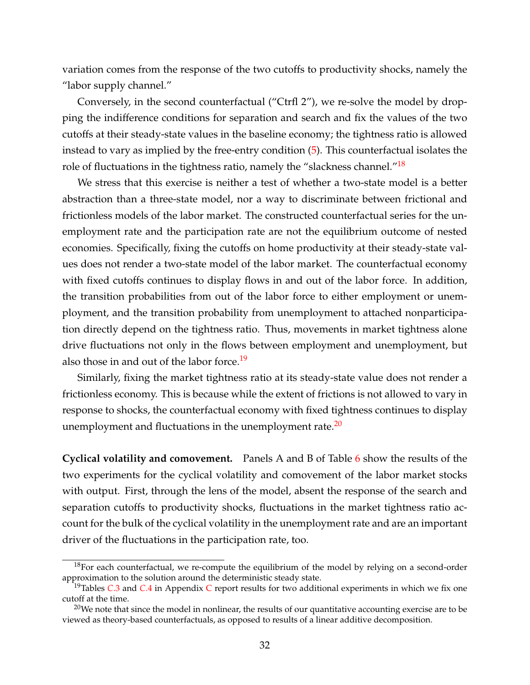variation comes from the response of the two cutoffs to productivity shocks, namely the "labor supply channel."

Conversely, in the second counterfactual ("Ctrfl 2"), we re-solve the model by dropping the indifference conditions for separation and search and fix the values of the two cutoffs at their steady-state values in the baseline economy; the tightness ratio is allowed instead to vary as implied by the free-entry condition [\(5\)](#page-15-2). This counterfactual isolates the role of fluctuations in the tightness ratio, namely the "slackness channel."<sup>[18](#page-32-0)</sup>

We stress that this exercise is neither a test of whether a two-state model is a better abstraction than a three-state model, nor a way to discriminate between frictional and frictionless models of the labor market. The constructed counterfactual series for the unemployment rate and the participation rate are not the equilibrium outcome of nested economies. Specifically, fixing the cutoffs on home productivity at their steady-state values does not render a two-state model of the labor market. The counterfactual economy with fixed cutoffs continues to display flows in and out of the labor force. In addition, the transition probabilities from out of the labor force to either employment or unemployment, and the transition probability from unemployment to attached nonparticipation directly depend on the tightness ratio. Thus, movements in market tightness alone drive fluctuations not only in the flows between employment and unemployment, but also those in and out of the labor force.<sup>[19](#page-32-1)</sup>

Similarly, fixing the market tightness ratio at its steady-state value does not render a frictionless economy. This is because while the extent of frictions is not allowed to vary in response to shocks, the counterfactual economy with fixed tightness continues to display unemployment and fluctuations in the unemployment rate. $^{20}$  $^{20}$  $^{20}$ 

**Cyclical volatility and comovement.** Panels A and B of Table [6](#page-33-0) show the results of the two experiments for the cyclical volatility and comovement of the labor market stocks with output. First, through the lens of the model, absent the response of the search and separation cutoffs to productivity shocks, fluctuations in the market tightness ratio account for the bulk of the cyclical volatility in the unemployment rate and are an important driver of the fluctuations in the participation rate, too.

<span id="page-32-0"></span> $18$ For each counterfactual, we re-compute the equilibrium of the model by relying on a second-order approximation to the solution around the deterministic steady state.

<span id="page-32-1"></span><sup>19</sup>Tables *C*[.3](#page-45-0) and *C*[.4](#page-46-0) in Appendix [C](#page-42-0) report results for two additional experiments in which we fix one cutoff at the time.

<span id="page-32-2"></span> $20$ We note that since the model in nonlinear, the results of our quantitative accounting exercise are to be viewed as theory-based counterfactuals, as opposed to results of a linear additive decomposition.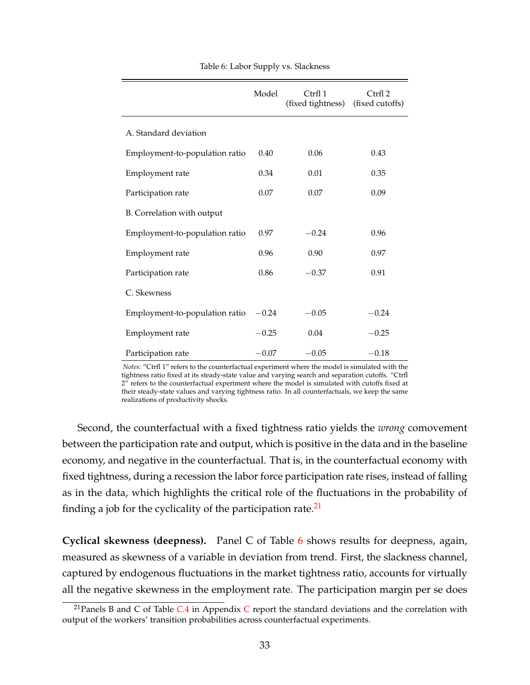<span id="page-33-0"></span>

|                                | Model   | Ctrl 1<br>(fixed tightness) | Ctrfl <sub>2</sub><br>(fixed cutoffs) |
|--------------------------------|---------|-----------------------------|---------------------------------------|
| A. Standard deviation          |         |                             |                                       |
| Employment-to-population ratio | 0.40    | 0.06                        | 0.43                                  |
| Employment rate                | 0.34    | 0.01                        | 0.35                                  |
| Participation rate             | 0.07    | 0.07                        | 0.09                                  |
| B. Correlation with output     |         |                             |                                       |
| Employment-to-population ratio | 0.97    | $-0.24$                     | 0.96                                  |
| Employment rate                | 0.96    | 0.90                        | 0.97                                  |
| Participation rate             | 0.86    | $-0.37$                     | 0.91                                  |
| C. Skewness                    |         |                             |                                       |
| Employment-to-population ratio | $-0.24$ | $-0.05$                     | $-0.24$                               |
| Employment rate                | $-0.25$ | 0.04                        | $-0.25$                               |
| Participation rate             | $-0.07$ | $-0.05$                     | $-0.18$                               |

Table 6: Labor Supply vs. Slackness

*Notes:* "Ctrfl 1" refers to the counterfactual experiment where the model is simulated with the tightness ratio fixed at its steady-state value and varying search and separation cutoffs. "Ctrfl 2" refers to the counterfactual experiment where the model is simulated with cutoffs fixed at their steady-state values and varying tightness ratio. In all counterfactuals, we keep the same realizations of productivity shocks.

Second, the counterfactual with a fixed tightness ratio yields the *wrong* comovement between the participation rate and output, which is positive in the data and in the baseline economy, and negative in the counterfactual. That is, in the counterfactual economy with fixed tightness, during a recession the labor force participation rate rises, instead of falling as in the data, which highlights the critical role of the fluctuations in the probability of finding a job for the cyclicality of the participation rate.<sup>[21](#page-33-1)</sup>

**Cyclical skewness (deepness).** Panel C of Table [6](#page-33-0) shows results for deepness, again, measured as skewness of a variable in deviation from trend. First, the slackness channel, captured by endogenous fluctuations in the market tightness ratio, accounts for virtually all the negative skewness in the employment rate. The participation margin per se does

<span id="page-33-1"></span><sup>21</sup>Panels B and C of Table *C*[.4](#page-46-0) in Appendix [C](#page-42-0) report the standard deviations and the correlation with output of the workers' transition probabilities across counterfactual experiments.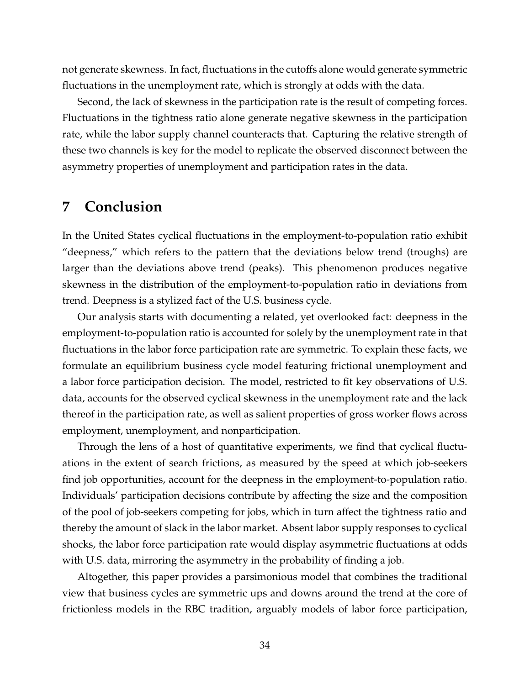not generate skewness. In fact, fluctuations in the cutoffs alone would generate symmetric fluctuations in the unemployment rate, which is strongly at odds with the data.

Second, the lack of skewness in the participation rate is the result of competing forces. Fluctuations in the tightness ratio alone generate negative skewness in the participation rate, while the labor supply channel counteracts that. Capturing the relative strength of these two channels is key for the model to replicate the observed disconnect between the asymmetry properties of unemployment and participation rates in the data.

### <span id="page-34-0"></span>**7 Conclusion**

In the United States cyclical fluctuations in the employment-to-population ratio exhibit "deepness," which refers to the pattern that the deviations below trend (troughs) are larger than the deviations above trend (peaks). This phenomenon produces negative skewness in the distribution of the employment-to-population ratio in deviations from trend. Deepness is a stylized fact of the U.S. business cycle.

Our analysis starts with documenting a related, yet overlooked fact: deepness in the employment-to-population ratio is accounted for solely by the unemployment rate in that fluctuations in the labor force participation rate are symmetric. To explain these facts, we formulate an equilibrium business cycle model featuring frictional unemployment and a labor force participation decision. The model, restricted to fit key observations of U.S. data, accounts for the observed cyclical skewness in the unemployment rate and the lack thereof in the participation rate, as well as salient properties of gross worker flows across employment, unemployment, and nonparticipation.

Through the lens of a host of quantitative experiments, we find that cyclical fluctuations in the extent of search frictions, as measured by the speed at which job-seekers find job opportunities, account for the deepness in the employment-to-population ratio. Individuals' participation decisions contribute by affecting the size and the composition of the pool of job-seekers competing for jobs, which in turn affect the tightness ratio and thereby the amount of slack in the labor market. Absent labor supply responses to cyclical shocks, the labor force participation rate would display asymmetric fluctuations at odds with U.S. data, mirroring the asymmetry in the probability of finding a job.

Altogether, this paper provides a parsimonious model that combines the traditional view that business cycles are symmetric ups and downs around the trend at the core of frictionless models in the RBC tradition, arguably models of labor force participation,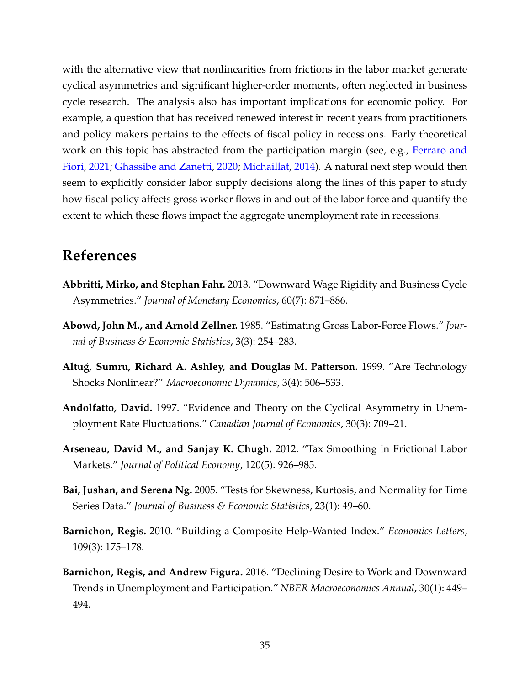with the alternative view that nonlinearities from frictions in the labor market generate cyclical asymmetries and significant higher-order moments, often neglected in business cycle research. The analysis also has important implications for economic policy. For example, a question that has received renewed interest in recent years from practitioners and policy makers pertains to the effects of fiscal policy in recessions. Early theoretical work on this topic has abstracted from the participation margin (see, e.g., [Ferraro and](#page-36-11) [Fiori,](#page-36-11) [2021;](#page-36-11) [Ghassibe and Zanetti,](#page-37-11) [2020;](#page-37-11) [Michaillat,](#page-38-12) [2014\)](#page-38-12). A natural next step would then seem to explicitly consider labor supply decisions along the lines of this paper to study how fiscal policy affects gross worker flows in and out of the labor force and quantify the extent to which these flows impact the aggregate unemployment rate in recessions.

## **References**

- <span id="page-35-1"></span>**Abbritti, Mirko, and Stephan Fahr.** 2013. "Downward Wage Rigidity and Business Cycle Asymmetries." *Journal of Monetary Economics*, 60(7): 871–886.
- <span id="page-35-6"></span>**Abowd, John M., and Arnold Zellner.** 1985. "Estimating Gross Labor-Force Flows." *Journal of Business & Economic Statistics*, 3(3): 254–283.
- <span id="page-35-2"></span>**Altu˘g, Sumru, Richard A. Ashley, and Douglas M. Patterson.** 1999. "Are Technology Shocks Nonlinear?" *Macroeconomic Dynamics*, 3(4): 506–533.
- <span id="page-35-0"></span>**Andolfatto, David.** 1997. "Evidence and Theory on the Cyclical Asymmetry in Unemployment Rate Fluctuations." *Canadian Journal of Economics*, 30(3): 709–21.
- <span id="page-35-5"></span>**Arseneau, David M., and Sanjay K. Chugh.** 2012. "Tax Smoothing in Frictional Labor Markets." *Journal of Political Economy*, 120(5): 926–985.
- <span id="page-35-3"></span>**Bai, Jushan, and Serena Ng.** 2005. "Tests for Skewness, Kurtosis, and Normality for Time Series Data." *Journal of Business & Economic Statistics*, 23(1): 49–60.
- <span id="page-35-7"></span>**Barnichon, Regis.** 2010. "Building a Composite Help-Wanted Index." *Economics Letters*, 109(3): 175–178.
- <span id="page-35-4"></span>**Barnichon, Regis, and Andrew Figura.** 2016. "Declining Desire to Work and Downward Trends in Unemployment and Participation." *NBER Macroeconomics Annual*, 30(1): 449– 494.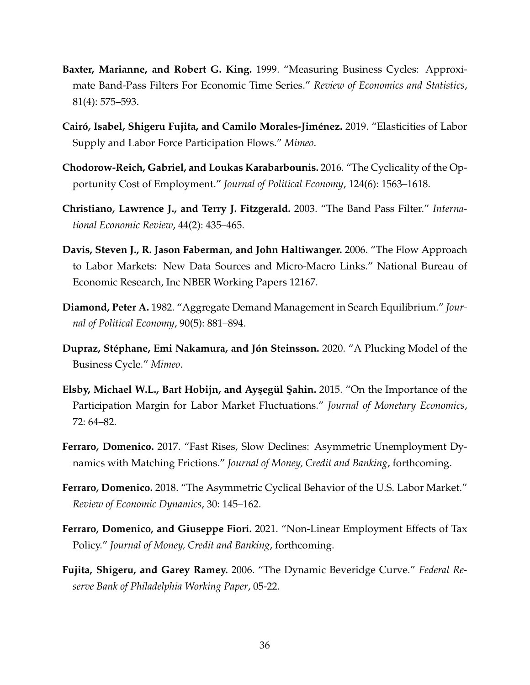- <span id="page-36-6"></span>**Baxter, Marianne, and Robert G. King.** 1999. "Measuring Business Cycles: Approximate Band-Pass Filters For Economic Time Series." *Review of Economics and Statistics*, 81(4): 575–593.
- <span id="page-36-5"></span>**Cairó, Isabel, Shigeru Fujita, and Camilo Morales-Jiménez.** 2019. "Elasticities of Labor Supply and Labor Force Participation Flows." *Mimeo*.
- <span id="page-36-10"></span>**Chodorow-Reich, Gabriel, and Loukas Karabarbounis.** 2016. "The Cyclicality of the Opportunity Cost of Employment." *Journal of Political Economy*, 124(6): 1563–1618.
- <span id="page-36-7"></span>**Christiano, Lawrence J., and Terry J. Fitzgerald.** 2003. "The Band Pass Filter." *International Economic Review*, 44(2): 435–465.
- <span id="page-36-8"></span>**Davis, Steven J., R. Jason Faberman, and John Haltiwanger.** 2006. "The Flow Approach to Labor Markets: New Data Sources and Micro-Macro Links." National Bureau of Economic Research, Inc NBER Working Papers 12167.
- <span id="page-36-0"></span>**Diamond, Peter A.** 1982. "Aggregate Demand Management in Search Equilibrium." *Journal of Political Economy*, 90(5): 881–894.
- <span id="page-36-1"></span>**Dupraz, Stéphane, Emi Nakamura, and Jón Steinsson.** 2020. "A Plucking Model of the Business Cycle." *Mimeo*.
- <span id="page-36-4"></span>**Elsby, Michael W.L., Bart Hobijn, and Ayşegül Şahin.** 2015. "On the Importance of the Participation Margin for Labor Market Fluctuations." *Journal of Monetary Economics*, 72: 64–82.
- <span id="page-36-2"></span>**Ferraro, Domenico.** 2017. "Fast Rises, Slow Declines: Asymmetric Unemployment Dynamics with Matching Frictions." *Journal of Money, Credit and Banking*, forthcoming.
- <span id="page-36-3"></span>**Ferraro, Domenico.** 2018. "The Asymmetric Cyclical Behavior of the U.S. Labor Market." *Review of Economic Dynamics*, 30: 145–162.
- <span id="page-36-11"></span>**Ferraro, Domenico, and Giuseppe Fiori.** 2021. "Non-Linear Employment Effects of Tax Policy." *Journal of Money, Credit and Banking*, forthcoming.
- <span id="page-36-9"></span>**Fujita, Shigeru, and Garey Ramey.** 2006. "The Dynamic Beveridge Curve." *Federal Reserve Bank of Philadelphia Working Paper*, 05-22.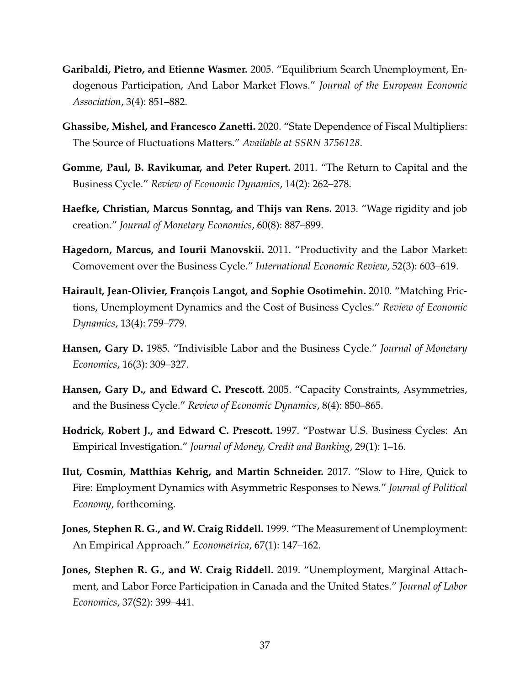- <span id="page-37-4"></span>**Garibaldi, Pietro, and Etienne Wasmer.** 2005. "Equilibrium Search Unemployment, Endogenous Participation, And Labor Market Flows." *Journal of the European Economic Association*, 3(4): 851–882.
- <span id="page-37-11"></span>**Ghassibe, Mishel, and Francesco Zanetti.** 2020. "State Dependence of Fiscal Multipliers: The Source of Fluctuations Matters." *Available at SSRN 3756128*.
- <span id="page-37-7"></span>**Gomme, Paul, B. Ravikumar, and Peter Rupert.** 2011. "The Return to Capital and the Business Cycle." *Review of Economic Dynamics*, 14(2): 262–278.
- <span id="page-37-8"></span>**Haefke, Christian, Marcus Sonntag, and Thijs van Rens.** 2013. "Wage rigidity and job creation." *Journal of Monetary Economics*, 60(8): 887–899.
- <span id="page-37-10"></span>**Hagedorn, Marcus, and Iourii Manovskii.** 2011. "Productivity and the Labor Market: Comovement over the Business Cycle." *International Economic Review*, 52(3): 603–619.
- <span id="page-37-0"></span>**Hairault, Jean-Olivier, François Langot, and Sophie Osotimehin.** 2010. "Matching Frictions, Unemployment Dynamics and the Cost of Business Cycles." *Review of Economic Dynamics*, 13(4): 759–779.
- <span id="page-37-1"></span>**Hansen, Gary D.** 1985. "Indivisible Labor and the Business Cycle." *Journal of Monetary Economics*, 16(3): 309–327.
- <span id="page-37-3"></span>**Hansen, Gary D., and Edward C. Prescott.** 2005. "Capacity Constraints, Asymmetries, and the Business Cycle." *Review of Economic Dynamics*, 8(4): 850–865.
- <span id="page-37-5"></span>**Hodrick, Robert J., and Edward C. Prescott.** 1997. "Postwar U.S. Business Cycles: An Empirical Investigation." *Journal of Money, Credit and Banking*, 29(1): 1–16.
- <span id="page-37-2"></span>**Ilut, Cosmin, Matthias Kehrig, and Martin Schneider.** 2017. "Slow to Hire, Quick to Fire: Employment Dynamics with Asymmetric Responses to News." *Journal of Political Economy*, forthcoming.
- <span id="page-37-6"></span>**Jones, Stephen R. G., and W. Craig Riddell.** 1999. "The Measurement of Unemployment: An Empirical Approach." *Econometrica*, 67(1): 147–162.
- <span id="page-37-9"></span>**Jones, Stephen R. G., and W. Craig Riddell.** 2019. "Unemployment, Marginal Attachment, and Labor Force Participation in Canada and the United States." *Journal of Labor Economics*, 37(S2): 399–441.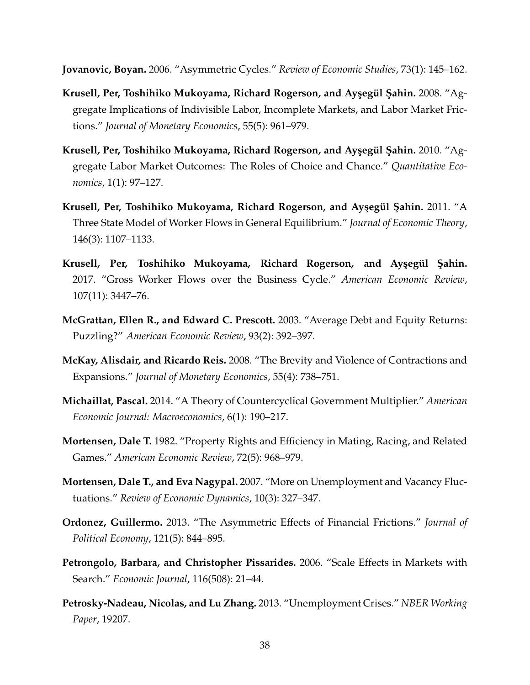<span id="page-38-3"></span>**Jovanovic, Boyan.** 2006. "Asymmetric Cycles." *Review of Economic Studies*, 73(1): 145–162.

- <span id="page-38-5"></span>**Krusell, Per, Toshihiko Mukoyama, Richard Rogerson, and Ayşegül Şahin.** 2008. "Aggregate Implications of Indivisible Labor, Incomplete Markets, and Labor Market Frictions." *Journal of Monetary Economics*, 55(5): 961–979.
- <span id="page-38-6"></span>**Krusell, Per, Toshihiko Mukoyama, Richard Rogerson, and Ayşegül Şahin.** 2010. "Aggregate Labor Market Outcomes: The Roles of Choice and Chance." *Quantitative Economics*, 1(1): 97–127.
- <span id="page-38-7"></span>**Krusell, Per, Toshihiko Mukoyama, Richard Rogerson, and Ay¸segül ¸Sahin.** 2011. "A Three State Model of Worker Flows in General Equilibrium." *Journal of Economic Theory*, 146(3): 1107–1133.
- <span id="page-38-8"></span>Krusell, Per, Toshihiko Mukoyama, Richard Rogerson, and Ayşegül Şahin. 2017. "Gross Worker Flows over the Business Cycle." *American Economic Review*, 107(11): 3447–76.
- <span id="page-38-9"></span>**McGrattan, Ellen R., and Edward C. Prescott.** 2003. "Average Debt and Equity Returns: Puzzling?" *American Economic Review*, 93(2): 392–397.
- <span id="page-38-0"></span>**McKay, Alisdair, and Ricardo Reis.** 2008. "The Brevity and Violence of Contractions and Expansions." *Journal of Monetary Economics*, 55(4): 738–751.
- <span id="page-38-12"></span>**Michaillat, Pascal.** 2014. "A Theory of Countercyclical Government Multiplier." *American Economic Journal: Macroeconomics*, 6(1): 190–217.
- <span id="page-38-1"></span>**Mortensen, Dale T.** 1982. "Property Rights and Efficiency in Mating, Racing, and Related Games." *American Economic Review*, 72(5): 968–979.
- <span id="page-38-11"></span>**Mortensen, Dale T., and Eva Nagypal.** 2007. "More on Unemployment and Vacancy Fluctuations." *Review of Economic Dynamics*, 10(3): 327–347.
- <span id="page-38-4"></span>**Ordonez, Guillermo.** 2013. "The Asymmetric Effects of Financial Frictions." *Journal of Political Economy*, 121(5): 844–895.
- <span id="page-38-10"></span>**Petrongolo, Barbara, and Christopher Pissarides.** 2006. "Scale Effects in Markets with Search." *Economic Journal*, 116(508): 21–44.
- <span id="page-38-2"></span>**Petrosky-Nadeau, Nicolas, and Lu Zhang.** 2013. "Unemployment Crises." *NBER Working Paper*, 19207.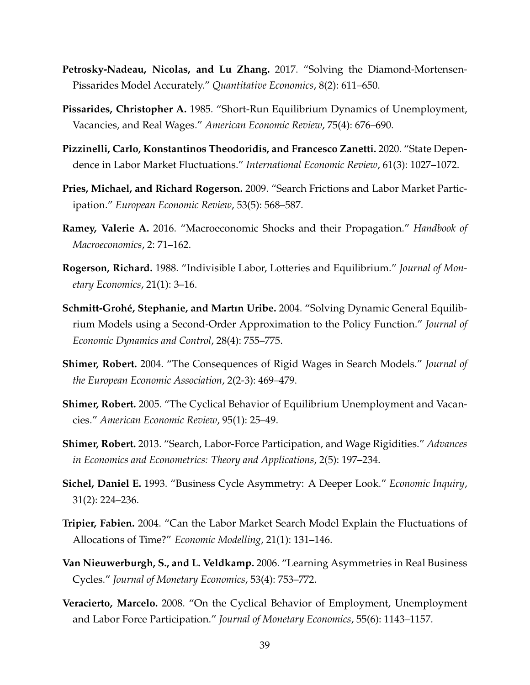- <span id="page-39-2"></span>**Petrosky-Nadeau, Nicolas, and Lu Zhang.** 2017. "Solving the Diamond-Mortensen-Pissarides Model Accurately." *Quantitative Economics*, 8(2): 611–650.
- <span id="page-39-1"></span>**Pissarides, Christopher A.** 1985. "Short-Run Equilibrium Dynamics of Unemployment, Vacancies, and Real Wages." *American Economic Review*, 75(4): 676–690.
- <span id="page-39-3"></span>**Pizzinelli, Carlo, Konstantinos Theodoridis, and Francesco Zanetti.** 2020. "State Dependence in Labor Market Fluctuations." *International Economic Review*, 61(3): 1027–1072.
- <span id="page-39-9"></span>**Pries, Michael, and Richard Rogerson.** 2009. "Search Frictions and Labor Market Participation." *European Economic Review*, 53(5): 568–587.
- <span id="page-39-11"></span>**Ramey, Valerie A.** 2016. "Macroeconomic Shocks and their Propagation." *Handbook of Macroeconomics*, 2: 71–162.
- <span id="page-39-4"></span>**Rogerson, Richard.** 1988. "Indivisible Labor, Lotteries and Equilibrium." *Journal of Monetary Economics*, 21(1): 3–16.
- <span id="page-39-13"></span>**Schmitt-Grohé, Stephanie, and Martın Uribe.** 2004. "Solving Dynamic General Equilibrium Models using a Second-Order Approximation to the Policy Function." *Journal of Economic Dynamics and Control*, 28(4): 755–775.
- <span id="page-39-10"></span>**Shimer, Robert.** 2004. "The Consequences of Rigid Wages in Search Models." *Journal of the European Economic Association*, 2(2-3): 469–479.
- <span id="page-39-12"></span>**Shimer, Robert.** 2005. "The Cyclical Behavior of Equilibrium Unemployment and Vacancies." *American Economic Review*, 95(1): 25–49.
- <span id="page-39-5"></span>**Shimer, Robert.** 2013. "Search, Labor-Force Participation, and Wage Rigidities." *Advances in Economics and Econometrics: Theory and Applications*, 2(5): 197–234.
- <span id="page-39-0"></span>**Sichel, Daniel E.** 1993. "Business Cycle Asymmetry: A Deeper Look." *Economic Inquiry*, 31(2): 224–236.
- <span id="page-39-6"></span>**Tripier, Fabien.** 2004. "Can the Labor Market Search Model Explain the Fluctuations of Allocations of Time?" *Economic Modelling*, 21(1): 131–146.
- <span id="page-39-8"></span>**Van Nieuwerburgh, S., and L. Veldkamp.** 2006. "Learning Asymmetries in Real Business Cycles." *Journal of Monetary Economics*, 53(4): 753–772.
- <span id="page-39-7"></span>**Veracierto, Marcelo.** 2008. "On the Cyclical Behavior of Employment, Unemployment and Labor Force Participation." *Journal of Monetary Economics*, 55(6): 1143–1157.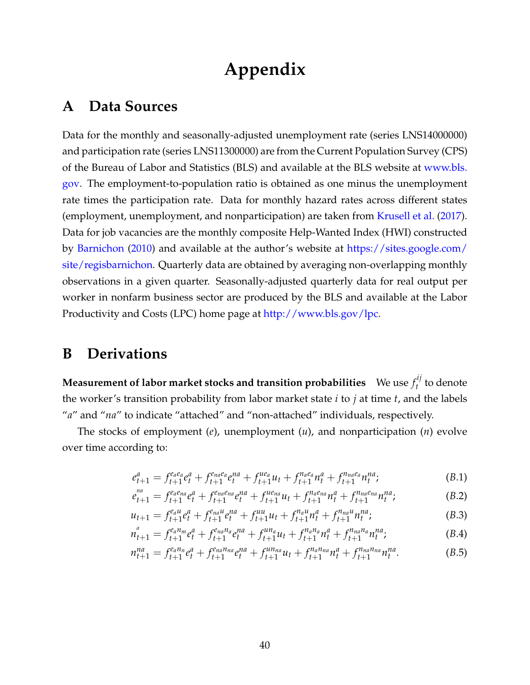# **Appendix**

## <span id="page-40-0"></span>**A Data Sources**

Data for the monthly and seasonally-adjusted unemployment rate (series LNS14000000) and participation rate (series LNS11300000) are from the Current Population Survey (CPS) of the Bureau of Labor and Statistics (BLS) and available at the BLS website at [www.bls.](www.bls.gov) [gov.](www.bls.gov) The employment-to-population ratio is obtained as one minus the unemployment rate times the participation rate. Data for monthly hazard rates across different states (employment, unemployment, and nonparticipation) are taken from [Krusell et al.](#page-38-8) [\(2017\)](#page-38-8). Data for job vacancies are the monthly composite Help-Wanted Index (HWI) constructed by [Barnichon](#page-35-7) [\(2010\)](#page-35-7) and available at the author's website at [https://sites.google.com/](https://sites.google.com/site/regisbarnichon) [site/regisbarnichon.](https://sites.google.com/site/regisbarnichon) Quarterly data are obtained by averaging non-overlapping monthly observations in a given quarter. Seasonally-adjusted quarterly data for real output per worker in nonfarm business sector are produced by the BLS and available at the Labor Productivity and Costs (LPC) home page at [http://www.bls.gov/lpc.](http://www.bls.gov/lpc)

## <span id="page-40-1"></span>**B Derivations**

**Measurement of labor market stocks and transition probabilities**  $\,$  We use  $f_t^{ij}$  $t$ <sup>t</sup> to denote the worker's transition probability from labor market state *i* to *j* at time *t*, and the labels "*a*" and "*na*" to indicate "attached" and "non-attached" individuals, respectively.

The stocks of employment (*e*), unemployment (*u*), and nonparticipation (*n*) evolve over time according to:

$$
e_{t+1}^a = f_{t+1}^{e_a e_a} e_t^a + f_{t+1}^{e_{na} e_a} e_t^{na} + f_{t+1}^{ue_a} u_t + f_{t+1}^{n_a e_a} n_t^a + f_{t+1}^{n_{na} e_a} n_t^{na};
$$
(B.1)

$$
e_{t+1}^{na} = f_{t+1}^{ea_{na}} e_t^a + f_{t+1}^{ea_{na}} e_t^{na} + f_{t+1}^{ue_{na}} u_t + f_{t+1}^{na_{na}} n_t^a + f_{t+1}^{n_{na}e_{na}} n_t^{na};
$$
 (B.2)

$$
u_{t+1} = f_{t+1}^{e_{a}u} e_{t}^{a} + f_{t+1}^{e_{na}u} e_{t}^{na} + f_{t+1}^{uu} u_{t} + f_{t+1}^{n_{a}u} n_{t}^{a} + f_{t+1}^{n_{na}u} n_{t}^{na};
$$
\n(B.3)

$$
n_{t+1}^a = f_{t+1}^{e_a n_m} e_t^a + f_{t+1}^{e_{na} n_a} e_t^{na} + f_{t+1}^{u n_a} u_t + f_{t+1}^{n_a n_a} n_t^a + f_{t+1}^{n_a n_a} n_t^{na}, \qquad (B.4)
$$

$$
n_{t+1}^{na} = f_{t+1}^{e_{a}n_{n}}e_{t}^{a} + f_{t+1}^{e_{na}n_{na}}e_{t}^{na} + f_{t+1}^{u_{n}n_{a}}u_{t} + f_{t+1}^{n_{a}n_{na}}n_{t}^{a} + f_{t+1}^{n_{na}n_{na}}n_{t}^{na}.
$$
 (B.5)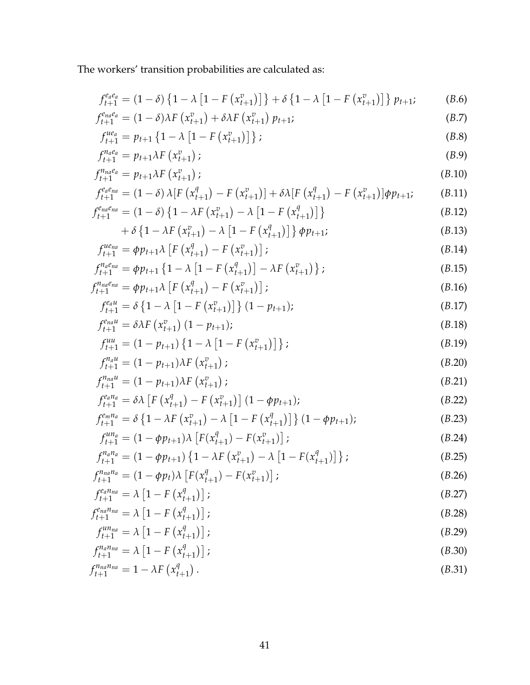The workers' transition probabilities are calculated as:

$$
f_{t+1}^{e_a e_a} = (1 - \delta) \left\{ 1 - \lambda \left[ 1 - F\left(x_{t+1}^v\right) \right] \right\} + \delta \left\{ 1 - \lambda \left[ 1 - F\left(x_{t+1}^v\right) \right] \right\} p_{t+1};\tag{B.6}
$$

$$
f_{t+1}^{e_{na}e_a} = (1 - \delta)\lambda F\left(x_{t+1}^v\right) + \delta\lambda F\left(x_{t+1}^v\right)p_{t+1};\tag{B.7}
$$

$$
f_{t+1}^{ue_a} = p_{t+1} \left\{ 1 - \lambda \left[ 1 - F\left( x_{t+1}^v \right) \right] \right\};\tag{B.8}
$$

$$
f_{t+1}^{n_a e_a} = p_{t+1} \lambda F\left(x_{t+1}^v\right); \tag{B.9}
$$

$$
f_{t+1}^{n_{na}e_a} = p_{t+1}\lambda F\left(x_{t+1}^v\right); \tag{B.10}
$$

$$
f_{t+1}^{e_a e_{na}} = (1 - \delta) \lambda [F(x_{t+1}^q) - F(x_{t+1}^v)] + \delta \lambda [F(x_{t+1}^q) - F(x_{t+1}^v)] \phi p_{t+1}; \qquad (B.11)
$$
\n
$$
f_{ena}^{e_{na}e_{na}} = (1 - \delta) [1 - \lambda F(x_{t+1}^v) - \lambda [1 - F(x_{t+1}^q)]]
$$
\n
$$
(B.12)
$$

$$
f_{t+1}^{e_{na}e_{na}} = (1 - \delta) \left\{ 1 - \lambda F\left(x_{t+1}^v\right) - \lambda \left[1 - F\left(x_{t+1}^q\right)\right] \right\}
$$
\n
$$
+ \delta \left\{ 1 - \lambda F\left(x_v^v\right) - \lambda \left[1 - F\left(x_v^q\right)\right] \right\}
$$
\n(B.12)

$$
+ \delta \left\{ 1 - \lambda F\left(x_{t+1}^v\right) - \lambda \left[1 - F\left(x_{t+1}^q\right)\right] \right\} \phi p_{t+1};
$$
\n(B.13)

$$
f_{t+1}^{ue_{na}} = \phi p_{t+1} \lambda \left[ F\left( x_{t+1}^q \right) - F\left( x_{t+1}^v \right) \right];
$$
\n(B.14)

$$
f_{t+1}^{n_a e_{na}} = \phi p_{t+1} \left\{ 1 - \lambda \left[ 1 - F\left(x_{t+1}^q\right) \right] - \lambda F\left(x_{t+1}^v\right) \right\};
$$
\n
$$
f_{t+1}^{n_a e_{na}} = \phi p_{t+1} \left\{ \frac{\Gamma\left(x_i^q\right)}{\Gamma\left(x_i^q\right)} - \frac{\Gamma\left(x_i^v\right)}{\Gamma\left(x_i^v\right)} \right\};
$$
\n(B.15)

$$
f_{t+1}^{n_{na}e_{na}} = \phi p_{t+1} \lambda \left[ F\left( x_{t+1}^q \right) - F\left( x_{t+1}^v \right) \right];
$$
\n(B.16)

$$
f_{t+1}^{e_{a}u} = \delta \left\{ 1 - \lambda \left[ 1 - F\left(x_{t+1}^{v}\right) \right] \right\} (1 - p_{t+1}); \tag{B.17}
$$

$$
f_{t+1}^{e_{na}u} = \delta \lambda F \left( x_{t+1}^v \right) (1 - p_{t+1}); \tag{B.18}
$$

$$
f_{t+1}^{uu} = (1 - p_{t+1}) \left\{ 1 - \lambda \left[ 1 - F\left( x_{t+1}^v \right) \right] \right\};
$$
\n(B.19)

$$
f_{t+1}^{n_a u} = (1 - p_{t+1})\lambda F\left(x_{t+1}^v\right);
$$
\n(B.20)

$$
f_{t+1}^{n_{na}u} = (1 - p_{t+1})\lambda F\left(x_{t+1}^v\right);
$$
\n(B.21)

$$
f_{t+1}^{e_a n_a} = \delta \lambda \left[ F \left( x_{t+1}^q \right) - F \left( x_{t+1}^v \right) \right] (1 - \phi p_{t+1}); \tag{B.22}
$$

$$
f_{t+1}^{e_m n_a} = \delta \left\{ 1 - \lambda F \left( x_{t+1}^v \right) - \lambda \left[ 1 - F \left( x_{t+1}^q \right) \right] \right\} (1 - \phi p_{t+1});
$$
\n
$$
f_{t+1}^{u n_a} = (1 - \phi p_{t+1}) \lambda \left[ F(x^q) - F(x^v) \right].
$$
\n(B.23)

$$
f_{t+1}^{un_a} = (1 - \phi p_{t+1}) \lambda \left[ F(x_{t+1}^q) - F(x_{t+1}^v) \right];
$$
\n
$$
f_{t+1}^{n_a n_a} = (1 - \phi p_{t+1}) \left[ 1 - \lambda F(x_{t+1}^v) - \lambda \left[ 1 - F(x_{t+1}^q) \right] \right].
$$
\n(B.24)

$$
f_{t+1}^{n_a n_a} = (1 - \phi p_{t+1}) \left\{ 1 - \lambda F\left(x_{t+1}^v\right) - \lambda \left[1 - F(x_{t+1}^q)\right] \right\};
$$
\n
$$
f_{n_a n_a}^{n_a n_a} = (1 - \phi p_t) \lambda \left[ F(x^q) - F(x^v) \right].
$$
\n(B.25)

$$
f_{t+1}^{n_{na}n_a} = (1 - \phi p_t) \lambda \left[ F(x_{t+1}^q) - F(x_{t+1}^v) \right];
$$
\n
$$
f_{t+1}^{e_a n_{na}} = \lambda \left[ 1 - F(x_1^q) \right].
$$
\n(B.26)

$$
f_{t+1}^{e_a n_{na}} = \lambda \left[ 1 - F\left( x_{t+1}^q \right) \right];\tag{B.27}
$$

$$
f_{t+1}^{e_{na}n_{na}} = \lambda \left[ 1 - F\left(x_{t+1}^q\right) \right];\tag{B.28}
$$

$$
f_{t+1}^{un_{na}} = \lambda \left[ 1 - F\left( x_{t+1}^q \right) \right];\tag{B.29}
$$

$$
f_{t+1}^{n_a n_{na}} = \lambda \left[ 1 - F\left( x_{t+1}^q \right) \right];\tag{B.30}
$$

$$
f_{t+1}^{n_{na}n_{na}} = 1 - \lambda F\left(x_{t+1}^q\right). \tag{B.31}
$$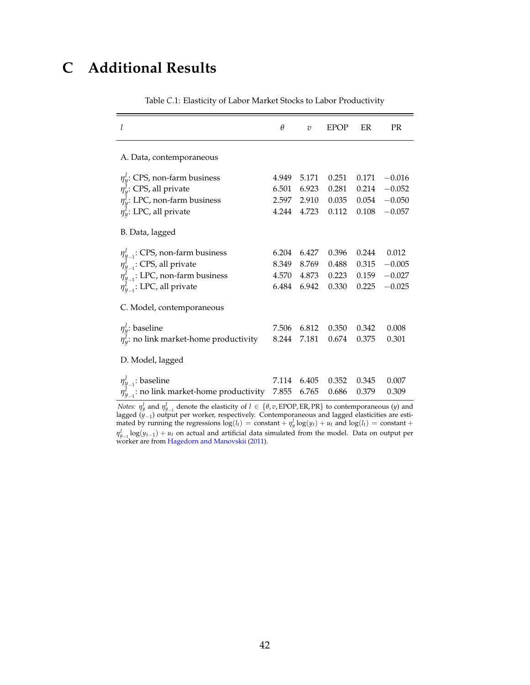## <span id="page-42-0"></span>**C Additional Results**

<span id="page-42-1"></span>

| l                                                                                                                                                                                       | $\theta$                         | $\overline{v}$                   | <b>EPOP</b>                      | ER                               | <b>PR</b>                                    |
|-----------------------------------------------------------------------------------------------------------------------------------------------------------------------------------------|----------------------------------|----------------------------------|----------------------------------|----------------------------------|----------------------------------------------|
| A. Data, contemporaneous                                                                                                                                                                |                                  |                                  |                                  |                                  |                                              |
| $\eta_{\rm V}^l$ : CPS, non-farm business<br>$\eta_v^l$ : CPS, all private<br>$\eta_{\rm v}^{\rm l}$ : LPC, non-farm business<br>$\eta_w^l$ : LPC, all private                          | 4.949<br>6.501<br>2.597<br>4.244 | 5.171<br>6.923<br>2.910<br>4.723 | 0.251<br>0.281<br>0.035<br>0.112 | 0.171<br>0.214<br>0.054<br>0.108 | $-0.016$<br>$-0.052$<br>$-0.050$<br>$-0.057$ |
| B. Data, lagged                                                                                                                                                                         |                                  |                                  |                                  |                                  |                                              |
| $\eta_{y_{-1}}^l$ : CPS, non-farm business<br>$\eta_{y_{-1}}^l$ : CPS, all private<br>$\eta_{y-1}^{\dagger}$ : LPC, non-farm business<br>$\eta_{V_{-1}}^{\tilde{l}}$ : LPC, all private | 6.204<br>8.349<br>4.570<br>6.484 | 6.427<br>8.769<br>4.873<br>6.942 | 0.396<br>0.488<br>0.223<br>0.330 | 0.244<br>0.315<br>0.159<br>0.225 | 0.012<br>$-0.005$<br>$-0.027$<br>$-0.025$    |
| C. Model, contemporaneous                                                                                                                                                               |                                  |                                  |                                  |                                  |                                              |
| $\eta_{y}^{l}$ : baseline<br>$\eta_v^l$ : no link market-home productivity                                                                                                              | 7.506<br>8.244                   | 6.812<br>7.181                   | 0.350<br>0.674                   | 0.342<br>0.375                   | 0.008<br>0.301                               |
| D. Model, lagged                                                                                                                                                                        |                                  |                                  |                                  |                                  |                                              |
| $\eta_{y_{-1}}^{\iota}$ : baseline<br>$\eta_{V_{-1}}^l$ : no link market-home productivity                                                                                              | 7.114<br>7.855                   | 6.405<br>6.765                   | 0.352<br>0.686                   | 0.345<br>0.379                   | 0.007<br>0.309                               |

Table *C*.1: Elasticity of Labor Market Stocks to Labor Productivity

*Notes:*  $\eta_y^l$  and  $\eta_{y-1}^l$  denote the elasticity of  $l \in \{\theta, v, \text{EPOP}, \text{ER}, \text{PR}\}\$  to contemporaneous (*y*) and lagged (*y*−1) output per worker, respectively. Contemporaneous and lagged elasticities are estimated by running the regressions  $\log(l_t) = \text{constant} + \eta_y^l \log(y_t) + u_t$  and  $\log(l_t) = \text{constant} + \eta_z^l$  $\eta_{y-1}^l$ log( $y_{t-1}$ ) +  $u_t$  on actual and artificial data simulated from the model. Data on output per worker are from [Hagedorn and Manovskii](#page-37-10) [\(2011\)](#page-37-10).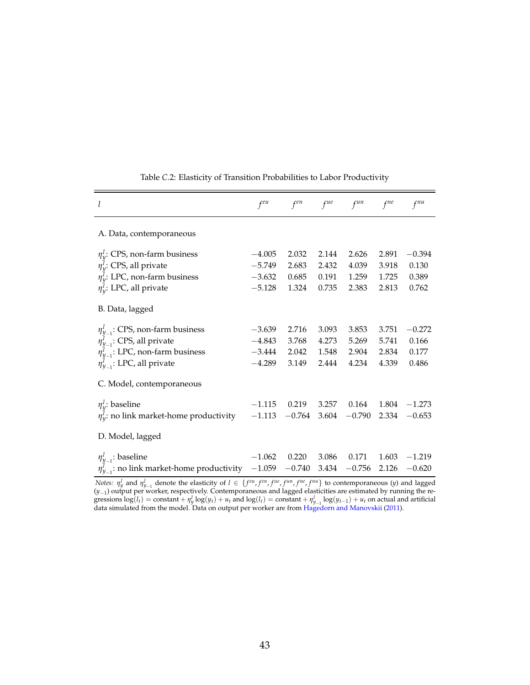<span id="page-43-0"></span>

| l                                                                                                                                                                     | $f^{eu}$                                     | $f^{en}$                         | $f^{ue}$                         | $f^{un}$                         | $f^{ne}$                         | $f^{nu}$                            |
|-----------------------------------------------------------------------------------------------------------------------------------------------------------------------|----------------------------------------------|----------------------------------|----------------------------------|----------------------------------|----------------------------------|-------------------------------------|
| A. Data, contemporaneous                                                                                                                                              |                                              |                                  |                                  |                                  |                                  |                                     |
| $\eta_{y}^{l}$ : CPS, non-farm business<br>$\eta_{v}^{l}$ : CPS, all private<br>$\eta_{\rm V}^l$ : LPC, non-farm business<br>$\eta_v^l$ : LPC, all private            | $-4.005$<br>$-5.749$<br>$-3.632$<br>$-5.128$ | 2.032<br>2.683<br>0.685<br>1.324 | 2.144<br>2.432<br>0.191<br>0.735 | 2.626<br>4.039<br>1.259<br>2.383 | 2.891<br>3.918<br>1.725<br>2.813 | $-0.394$<br>0.130<br>0.389<br>0.762 |
| B. Data, lagged                                                                                                                                                       |                                              |                                  |                                  |                                  |                                  |                                     |
| $\eta_{y_{-1}}^l$ : CPS, non-farm business<br>$\eta_{y_{-1}}^l$ : CPS, all private<br>$\eta_{y_{-1}}^l$ : LPC, non-farm business<br>$\eta_{V-1}^l$ : LPC, all private | $-3.639$<br>$-4.843$<br>$-3.444$<br>$-4.289$ | 2.716<br>3.768<br>2.042<br>3.149 | 3.093<br>4.273<br>1.548<br>2.444 | 3.853<br>5.269<br>2.904<br>4.234 | 3.751<br>5.741<br>2.834<br>4.339 | $-0.272$<br>0.166<br>0.177<br>0.486 |
| C. Model, contemporaneous                                                                                                                                             |                                              |                                  |                                  |                                  |                                  |                                     |
| $\eta_v^l$ : baseline<br>$\eta_v^l$ : no link market-home productivity                                                                                                | $-1.115$<br>$-1.113$                         | 0.219<br>$-0.764$                | 3.257<br>3.604                   | 0.164<br>$-0.790$                | 1.804<br>2.334                   | $-1.273$<br>$-0.653$                |
| D. Model, lagged                                                                                                                                                      |                                              |                                  |                                  |                                  |                                  |                                     |
| $\eta_{y_{-1}}^l$ : baseline<br>$\eta_{V-1}^l$ : no link market-home productivity                                                                                     | $-1.062$<br>$-1.059$                         | 0.220<br>$-0.740$                | 3.086<br>3.434                   | 0.171<br>$-0.756$                | 1.603<br>2.126                   | $-1.219$<br>$-0.620$                |

Table *C*.2: Elasticity of Transition Probabilities to Labor Productivity

Notes:  $\eta_y^l$  and  $\eta_{y_{-1}}^l$  denote the elasticity of  $l \in \{f^{eu}, f^{en}, f^{ue}, f^{un}, f^{ne}, f^{nu}\}$  to contemporaneous (y) and lagged (*y*−1) output per worker, respectively. Contemporaneous and lagged elasticities are estimated by running the regressions  $\log(l_t) = \text{constant} + \eta_y^l \log(y_t) + u_t$  and  $\log(l_t) = \text{constant} + \eta_{y-1}^l \log(y_{t-1}) + u_t$  on actual and artificial data simulated from the model. Data on output per worker are from [Hagedorn and Manovskii](#page-37-10) [\(2011\)](#page-37-10).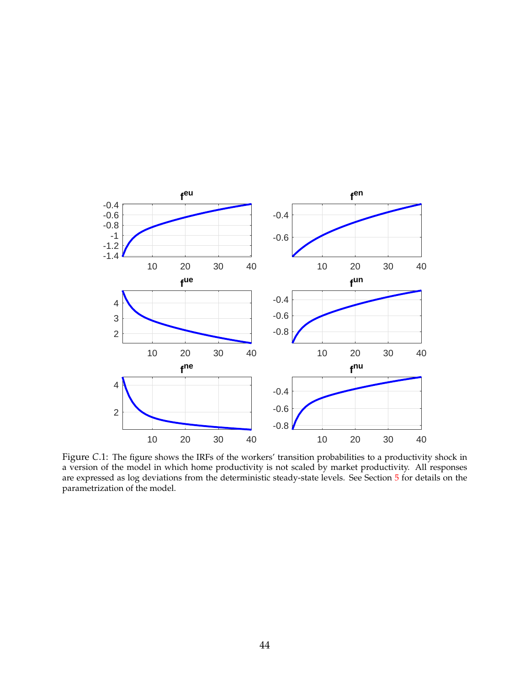<span id="page-44-0"></span>

Figure *C*.1: The figure shows the IRFs of the workers' transition probabilities to a productivity shock in a version of the model in which home productivity is not scaled by market productivity. All responses are expressed as log deviations from the deterministic steady-state levels. See Section [5](#page-20-0) for details on the parametrization of the model.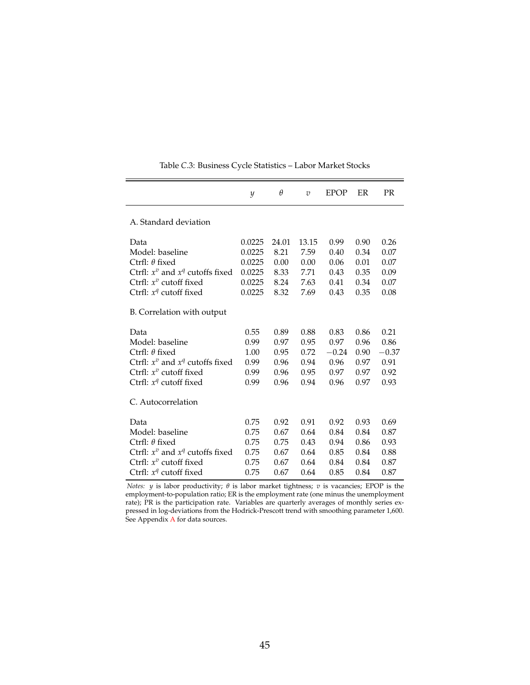<span id="page-45-0"></span>

|                                      | $\mathcal{Y}$ | $\theta$ | $\overline{v}$ | <b>EPOP</b> | ER   | <b>PR</b> |
|--------------------------------------|---------------|----------|----------------|-------------|------|-----------|
|                                      |               |          |                |             |      |           |
| A. Standard deviation                |               |          |                |             |      |           |
| Data                                 | 0.0225        | 24.01    | 13.15          | 0.99        | 0.90 | 0.26      |
| Model: baseline                      | 0.0225        | 8.21     | 7.59           | 0.40        | 0.34 | 0.07      |
| Ctrfl: $\theta$ fixed                | 0.0225        | 0.00     | 0.00           | 0.06        | 0.01 | 0.07      |
| Ctrfl: $x^v$ and $x^q$ cutoffs fixed | 0.0225        | 8.33     | 7.71           | 0.43        | 0.35 | 0.09      |
| Ctrfl: $x^v$ cutoff fixed            | 0.0225        | 8.24     | 7.63           | 0.41        | 0.34 | 0.07      |
| Ctrfl: $x^q$ cutoff fixed            | 0.0225        | 8.32     | 7.69           | 0.43        | 0.35 | 0.08      |
| B. Correlation with output           |               |          |                |             |      |           |
| Data                                 | 0.55          | 0.89     | 0.88           | 0.83        | 0.86 | 0.21      |
| Model: baseline                      | 0.99          | 0.97     | 0.95           | 0.97        | 0.96 | 0.86      |
| Ctrfl: $\theta$ fixed                | 1.00          | 0.95     | 0.72           | $-0.24$     | 0.90 | $-0.37$   |
| Ctrfl: $x^v$ and $x^q$ cutoffs fixed | 0.99          | 0.96     | 0.94           | 0.96        | 0.97 | 0.91      |
| Ctrfl: $x^v$ cutoff fixed            | 0.99          | 0.96     | 0.95           | 0.97        | 0.97 | 0.92      |
| Ctrfl: $x^q$ cutoff fixed            | 0.99          | 0.96     | 0.94           | 0.96        | 0.97 | 0.93      |
| C. Autocorrelation                   |               |          |                |             |      |           |
| Data                                 | 0.75          | 0.92     | 0.91           | 0.92        | 0.93 | 0.69      |
| Model: baseline                      | 0.75          | 0.67     | 0.64           | 0.84        | 0.84 | 0.87      |
| Ctrfl: $\theta$ fixed                | 0.75          | 0.75     | 0.43           | 0.94        | 0.86 | 0.93      |
| Ctrfl: $x^v$ and $x^q$ cutoffs fixed | 0.75          | 0.67     | 0.64           | 0.85        | 0.84 | 0.88      |
| Ctrfl: $x^v$ cutoff fixed            | 0.75          | 0.67     | 0.64           | 0.84        | 0.84 | 0.87      |
| Ctrfl: $x^q$ cutoff fixed            | 0.75          | 0.67     | 0.64           | 0.85        | 0.84 | 0.87      |

Table *C*.3: Business Cycle Statistics – Labor Market Stocks

*Notes: y* is labor productivity;  $θ$  is labor market tightness; *v* is vacancies; EPOP is the employment-to-population ratio; ER is the employment rate (one minus the unemployment rate); PR is the participation rate. Variables are quarterly averages of monthly series expressed in log-deviations from the Hodrick-Prescott trend with smoothing parameter 1,600. See [A](#page-40-0)ppendix A for data sources.